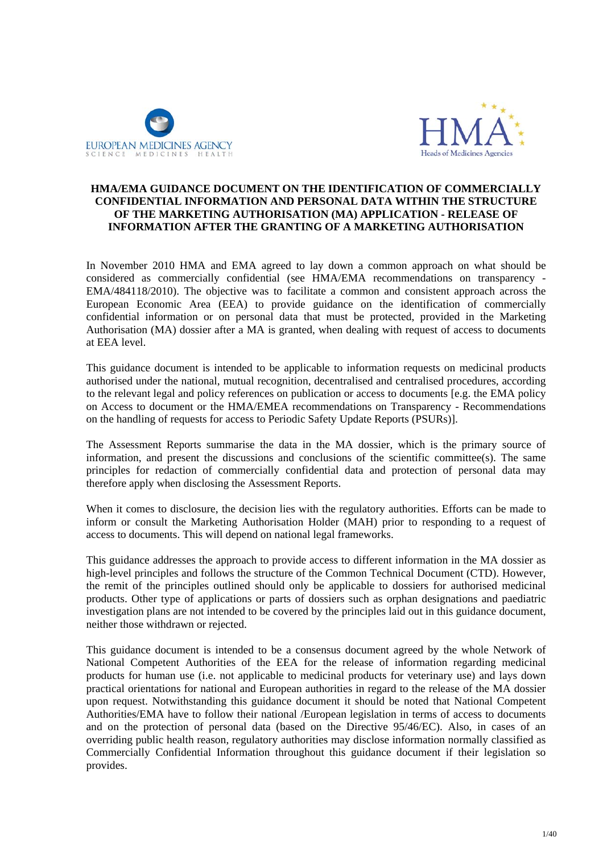



## **HMA/EMA GUIDANCE DOCUMENT ON THE IDENTIFICATION OF COMMERCIALLY CONFIDENTIAL INFORMATION AND PERSONAL DATA WITHIN THE STRUCTURE OF THE MARKETING AUTHORISATION (MA) APPLICATION - RELEASE OF INFORMATION AFTER THE GRANTING OF A MARKETING AUTHORISATION**

In November 2010 HMA and EMA agreed to lay down a common approach on what should be considered as commercially confidential (see HMA/EMA recommendations on transparency - EMA/484118/2010). The objective was to facilitate a common and consistent approach across the European Economic Area (EEA) to provide guidance on the identification of commercially confidential information or on personal data that must be protected, provided in the Marketing Authorisation (MA) dossier after a MA is granted, when dealing with request of access to documents at EEA level.

This guidance document is intended to be applicable to information requests on medicinal products authorised under the national, mutual recognition, decentralised and centralised procedures, according to the relevant legal and policy references on publication or access to documents [e.g. the EMA policy on Access to document or the HMA/EMEA recommendations on Transparency - Recommendations on the handling of requests for access to Periodic Safety Update Reports (PSURs)].

The Assessment Reports summarise the data in the MA dossier, which is the primary source of information, and present the discussions and conclusions of the scientific committee(s). The same principles for redaction of commercially confidential data and protection of personal data may therefore apply when disclosing the Assessment Reports.

When it comes to disclosure, the decision lies with the regulatory authorities. Efforts can be made to inform or consult the Marketing Authorisation Holder (MAH) prior to responding to a request of access to documents. This will depend on national legal frameworks.

This guidance addresses the approach to provide access to different information in the MA dossier as high-level principles and follows the structure of the Common Technical Document (CTD). However, the remit of the principles outlined should only be applicable to dossiers for authorised medicinal products. Other type of applications or parts of dossiers such as orphan designations and paediatric investigation plans are not intended to be covered by the principles laid out in this guidance document, neither those withdrawn or rejected.

This guidance document is intended to be a consensus document agreed by the whole Network of National Competent Authorities of the EEA for the release of information regarding medicinal products for human use (i.e. not applicable to medicinal products for veterinary use) and lays down practical orientations for national and European authorities in regard to the release of the MA dossier upon request. Notwithstanding this guidance document it should be noted that National Competent Authorities/EMA have to follow their national /European legislation in terms of access to documents and on the protection of personal data (based on the Directive 95/46/EC). Also, in cases of an overriding public health reason, regulatory authorities may disclose information normally classified as Commercially Confidential Information throughout this guidance document if their legislation so provides.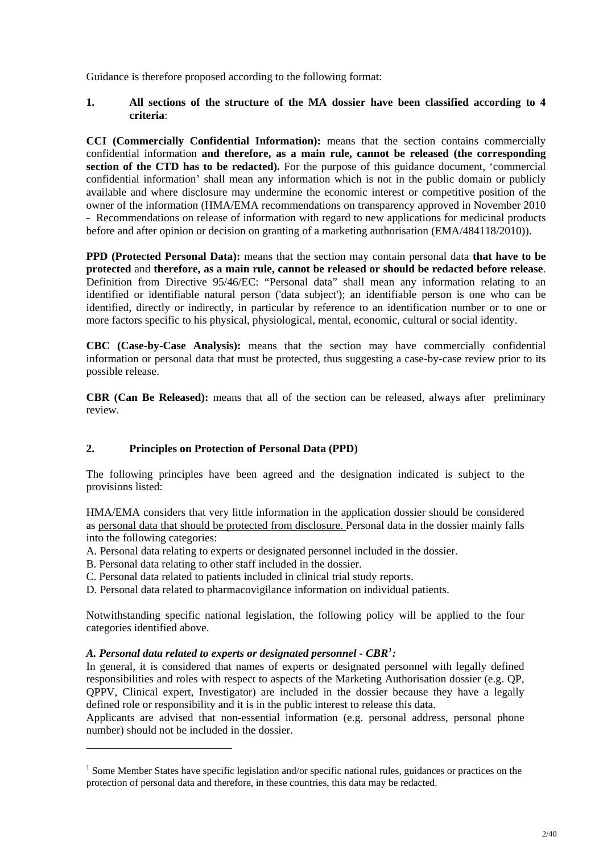Guidance is therefore proposed according to the following format:

## **1. All sections of the structure of the MA dossier have been classified according to 4 criteria**:

**CCI (Commercially Confidential Information):** means that the section contains commercially confidential information **and therefore, as a main rule, cannot be released (the corresponding section of the CTD has to be redacted).** For the purpose of this guidance document, 'commercial confidential information' shall mean any information which is not in the public domain or publicly available and where disclosure may undermine the economic interest or competitive position of the owner of the information (HMA/EMA recommendations on transparency approved in November 2010 - Recommendations on release of information with regard to new applications for medicinal products before and after opinion or decision on granting of a marketing authorisation (EMA/484118/2010)).

**PPD (Protected Personal Data):** means that the section may contain personal data **that have to be protected** and **therefore, as a main rule, cannot be released or should be redacted before release**. Definition from Directive 95/46/EC: "Personal data" shall mean any information relating to an identified or identifiable natural person ('data subject'); an identifiable person is one who can be identified, directly or indirectly, in particular by reference to an identification number or to one or more factors specific to his physical, physiological, mental, economic, cultural or social identity.

**CBC (Case-by-Case Analysis):** means that the section may have commercially confidential information or personal data that must be protected, thus suggesting a case-by-case review prior to its possible release.

**CBR (Can Be Released):** means that all of the section can be released, always after preliminary review.

# **2. Principles on Protection of Personal Data (PPD)**

The following principles have been agreed and the designation indicated is subject to the provisions listed:

HMA/EMA considers that very little information in the application dossier should be considered as personal data that should be protected from disclosure. Personal data in the dossier mainly falls into the following categories:

- A. Personal data relating to experts or designated personnel included in the dossier.
- B. Personal data relating to other staff included in the dossier.
- C. Personal data related to patients included in clinical trial study reports.
- D. Personal data related to pharmacovigilance information on individual patients.

Notwithstanding specific national legislation, the following policy will be applied to the four categories identified above.

## *A. Personal data related to experts or designated personnel - CBR[1](#page-1-0) :*

l

In general, it is considered that names of experts or designated personnel with legally defined responsibilities and roles with respect to aspects of the Marketing Authorisation dossier (e.g. QP, QPPV, Clinical expert, Investigator) are included in the dossier because they have a legally defined role or responsibility and it is in the public interest to release this data.

Applicants are advised that non-essential information (e.g. personal address, personal phone number) should not be included in the dossier.

<span id="page-1-0"></span><sup>&</sup>lt;sup>1</sup> Some Member States have specific legislation and/or specific national rules, guidances or practices on the protection of personal data and therefore, in these countries, this data may be redacted.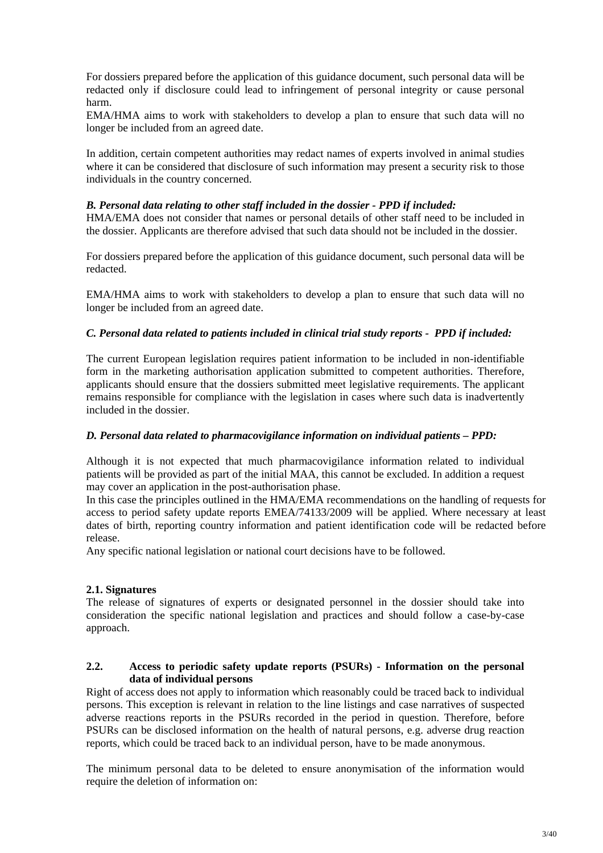For dossiers prepared before the application of this guidance document, such personal data will be redacted only if disclosure could lead to infringement of personal integrity or cause personal harm.

EMA/HMA aims to work with stakeholders to develop a plan to ensure that such data will no longer be included from an agreed date.

In addition, certain competent authorities may redact names of experts involved in animal studies where it can be considered that disclosure of such information may present a security risk to those individuals in the country concerned.

## *B. Personal data relating to other staff included in the dossier - PPD if included:*

HMA/EMA does not consider that names or personal details of other staff need to be included in the dossier. Applicants are therefore advised that such data should not be included in the dossier.

For dossiers prepared before the application of this guidance document, such personal data will be redacted.

EMA/HMA aims to work with stakeholders to develop a plan to ensure that such data will no longer be included from an agreed date.

## *C. Personal data related to patients included in clinical trial study reports - PPD if included:*

The current European legislation requires patient information to be included in non-identifiable form in the marketing authorisation application submitted to competent authorities. Therefore, applicants should ensure that the dossiers submitted meet legislative requirements. The applicant remains responsible for compliance with the legislation in cases where such data is inadvertently included in the dossier.

## *D. Personal data related to pharmacovigilance information on individual patients – PPD:*

Although it is not expected that much pharmacovigilance information related to individual patients will be provided as part of the initial MAA, this cannot be excluded. In addition a request may cover an application in the post-authorisation phase.

In this case the principles outlined in the HMA/EMA recommendations on the handling of requests for access to period safety update reports EMEA/74133/2009 will be applied. Where necessary at least dates of birth, reporting country information and patient identification code will be redacted before release.

Any specific national legislation or national court decisions have to be followed.

## **2.1. Signatures**

The release of signatures of experts or designated personnel in the dossier should take into consideration the specific national legislation and practices and should follow a case-by-case approach.

## **2.2. Access to periodic safety update reports (PSURs) - Information on the personal data of individual persons**

Right of access does not apply to information which reasonably could be traced back to individual persons. This exception is relevant in relation to the line listings and case narratives of suspected adverse reactions reports in the PSURs recorded in the period in question. Therefore, before PSURs can be disclosed information on the health of natural persons, e.g. adverse drug reaction reports, which could be traced back to an individual person, have to be made anonymous.

The minimum personal data to be deleted to ensure anonymisation of the information would require the deletion of information on: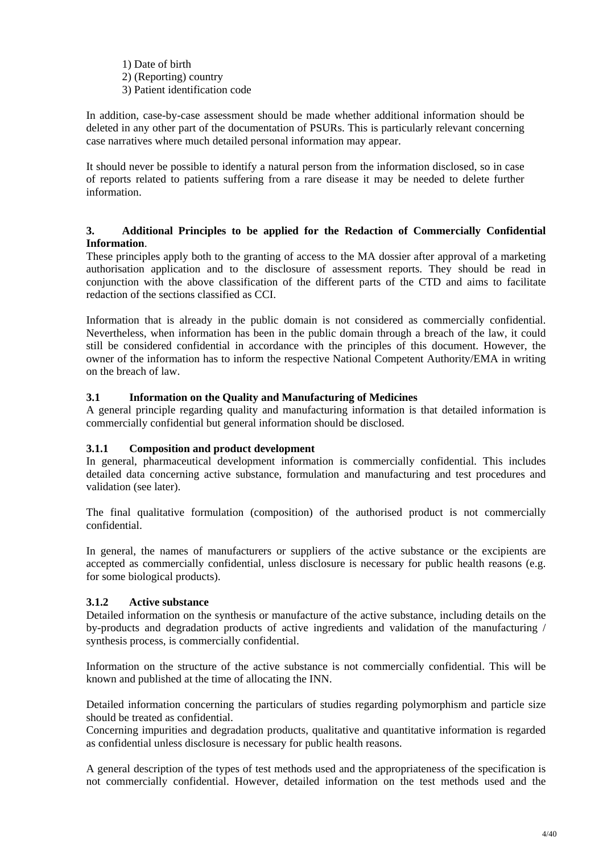1) Date of birth 2) (Reporting) country 3) Patient identification code

In addition, case-by-case assessment should be made whether additional information should be deleted in any other part of the documentation of PSURs. This is particularly relevant concerning case narratives where much detailed personal information may appear.

It should never be possible to identify a natural person from the information disclosed, so in case of reports related to patients suffering from a rare disease it may be needed to delete further information.

## **3. Additional Principles to be applied for the Redaction of Commercially Confidential Information**.

These principles apply both to the granting of access to the MA dossier after approval of a marketing authorisation application and to the disclosure of assessment reports. They should be read in conjunction with the above classification of the different parts of the CTD and aims to facilitate redaction of the sections classified as CCI.

Information that is already in the public domain is not considered as commercially confidential. Nevertheless, when information has been in the public domain through a breach of the law, it could still be considered confidential in accordance with the principles of this document. However, the owner of the information has to inform the respective National Competent Authority/EMA in writing on the breach of law.

# **3.1 Information on the Quality and Manufacturing of Medicines**

A general principle regarding quality and manufacturing information is that detailed information is commercially confidential but general information should be disclosed.

# **3.1.1 Composition and product development**

In general, pharmaceutical development information is commercially confidential. This includes detailed data concerning active substance, formulation and manufacturing and test procedures and validation (see later).

The final qualitative formulation (composition) of the authorised product is not commercially confidential.

In general, the names of manufacturers or suppliers of the active substance or the excipients are accepted as commercially confidential, unless disclosure is necessary for public health reasons (e.g. for some biological products).

# **3.1.2 Active substance**

Detailed information on the synthesis or manufacture of the active substance, including details on the by-products and degradation products of active ingredients and validation of the manufacturing / synthesis process, is commercially confidential.

Information on the structure of the active substance is not commercially confidential. This will be known and published at the time of allocating the INN.

Detailed information concerning the particulars of studies regarding polymorphism and particle size should be treated as confidential.

Concerning impurities and degradation products, qualitative and quantitative information is regarded as confidential unless disclosure is necessary for public health reasons.

A general description of the types of test methods used and the appropriateness of the specification is not commercially confidential. However, detailed information on the test methods used and the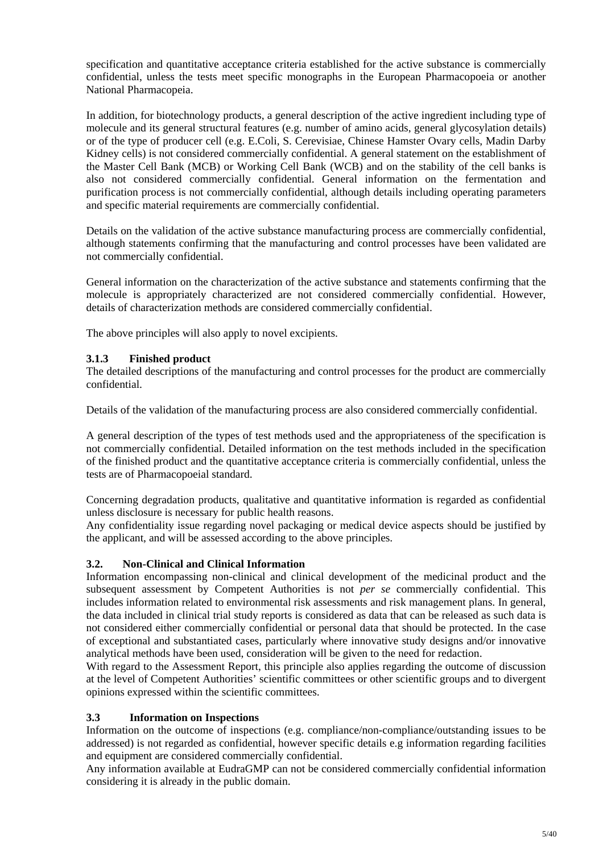specification and quantitative acceptance criteria established for the active substance is commercially confidential, unless the tests meet specific monographs in the European Pharmacopoeia or another National Pharmacopeia.

In addition, for biotechnology products, a general description of the active ingredient including type of molecule and its general structural features (e.g. number of amino acids, general glycosylation details) or of the type of producer cell (e.g. E.Coli, S. Cerevisiae, Chinese Hamster Ovary cells, Madin Darby Kidney cells) is not considered commercially confidential. A general statement on the establishment of the Master Cell Bank (MCB) or Working Cell Bank (WCB) and on the stability of the cell banks is also not considered commercially confidential. General information on the fermentation and purification process is not commercially confidential, although details including operating parameters and specific material requirements are commercially confidential.

Details on the validation of the active substance manufacturing process are commercially confidential, although statements confirming that the manufacturing and control processes have been validated are not commercially confidential.

General information on the characterization of the active substance and statements confirming that the molecule is appropriately characterized are not considered commercially confidential. However, details of characterization methods are considered commercially confidential.

The above principles will also apply to novel excipients.

# **3.1.3 Finished product**

The detailed descriptions of the manufacturing and control processes for the product are commercially confidential.

Details of the validation of the manufacturing process are also considered commercially confidential.

A general description of the types of test methods used and the appropriateness of the specification is not commercially confidential. Detailed information on the test methods included in the specification of the finished product and the quantitative acceptance criteria is commercially confidential, unless the tests are of Pharmacopoeial standard.

Concerning degradation products, qualitative and quantitative information is regarded as confidential unless disclosure is necessary for public health reasons.

Any confidentiality issue regarding novel packaging or medical device aspects should be justified by the applicant, and will be assessed according to the above principles.

# **3.2. Non-Clinical and Clinical Information**

Information encompassing non-clinical and clinical development of the medicinal product and the subsequent assessment by Competent Authorities is not *per se* commercially confidential. This includes information related to environmental risk assessments and risk management plans. In general, the data included in clinical trial study reports is considered as data that can be released as such data is not considered either commercially confidential or personal data that should be protected. In the case of exceptional and substantiated cases, particularly where innovative study designs and/or innovative analytical methods have been used, consideration will be given to the need for redaction.

With regard to the Assessment Report, this principle also applies regarding the outcome of discussion at the level of Competent Authorities' scientific committees or other scientific groups and to divergent opinions expressed within the scientific committees.

# **3.3 Information on Inspections**

Information on the outcome of inspections (e.g. compliance/non-compliance/outstanding issues to be addressed) is not regarded as confidential, however specific details e.g information regarding facilities and equipment are considered commercially confidential.

Any information available at EudraGMP can not be considered commercially confidential information considering it is already in the public domain.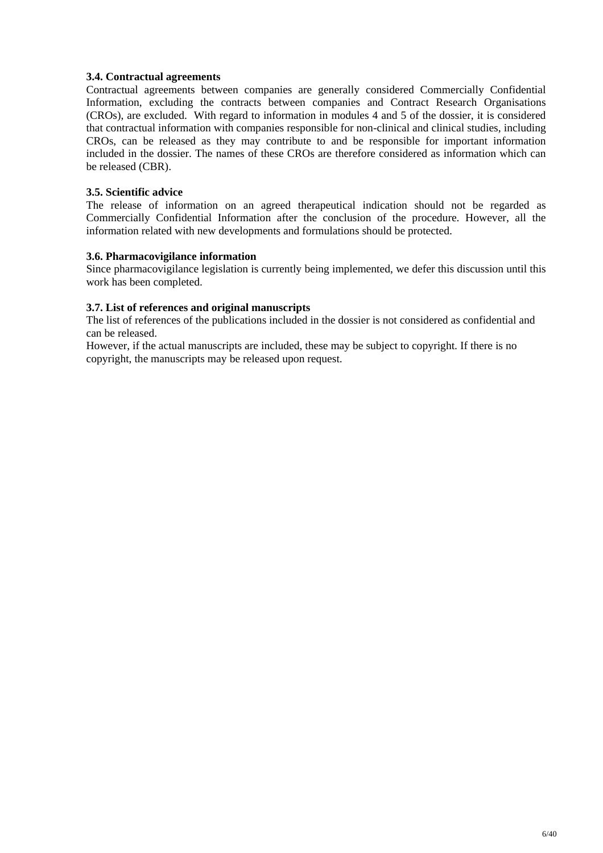## **3.4. Contractual agreements**

Contractual agreements between companies are generally considered Commercially Confidential Information, excluding the contracts between companies and Contract Research Organisations (CROs), are excluded. With regard to information in modules 4 and 5 of the dossier, it is considered that contractual information with companies responsible for non-clinical and clinical studies, including CROs, can be released as they may contribute to and be responsible for important information included in the dossier. The names of these CROs are therefore considered as information which can be released (CBR).

## **3.5. Scientific advice**

The release of information on an agreed therapeutical indication should not be regarded as Commercially Confidential Information after the conclusion of the procedure. However, all the information related with new developments and formulations should be protected.

## **3.6. Pharmacovigilance information**

Since pharmacovigilance legislation is currently being implemented, we defer this discussion until this work has been completed.

## **3.7. List of references and original manuscripts**

The list of references of the publications included in the dossier is not considered as confidential and can be released.

However, if the actual manuscripts are included, these may be subject to copyright. If there is no copyright, the manuscripts may be released upon request.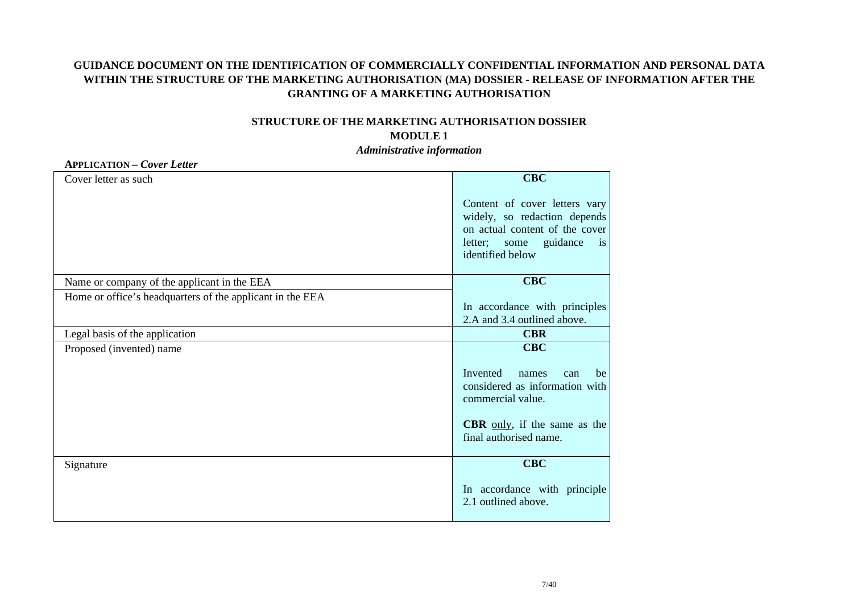# **GUIDANCE DOCUMENT ON THE IDENTIFICATION OF COMMERCIALLY CONFIDENTIAL INFORMATION AND PERSONAL DATA WITHIN THE STRUCTURE OF THE MARKETING AUTHORISATION (MA) DOSSIER - RELEASE OF INFORMATION AFTER THE GRANTING OF A MARKETING AUTHORISATION**

# **STRUCTURE OF THE MARKETING AUTHORISATION DOSSIER MODULE 1**

*Administrative information* 

### **APPLICATION** *– Cover Letter*

| Cover letter as such                                      | <b>CBC</b>                                                                                                                                                              |
|-----------------------------------------------------------|-------------------------------------------------------------------------------------------------------------------------------------------------------------------------|
|                                                           | Content of cover letters vary<br>widely, so redaction depends<br>on actual content of the cover<br>guidance<br>letter;<br>some<br>$\overline{1}$ is<br>identified below |
| Name or company of the applicant in the EEA               | <b>CBC</b>                                                                                                                                                              |
| Home or office's headquarters of the applicant in the EEA | In accordance with principles<br>2.A and 3.4 outlined above.                                                                                                            |
| Legal basis of the application                            | <b>CBR</b>                                                                                                                                                              |
| Proposed (invented) name                                  | <b>CBC</b>                                                                                                                                                              |
|                                                           | Invented<br>names<br>can<br>be<br>considered as information with<br>commercial value.                                                                                   |
|                                                           | <b>CBR</b> only, if the same as the<br>final authorised name.                                                                                                           |
| Signature                                                 | <b>CBC</b>                                                                                                                                                              |
|                                                           | In accordance with principle<br>2.1 outlined above.                                                                                                                     |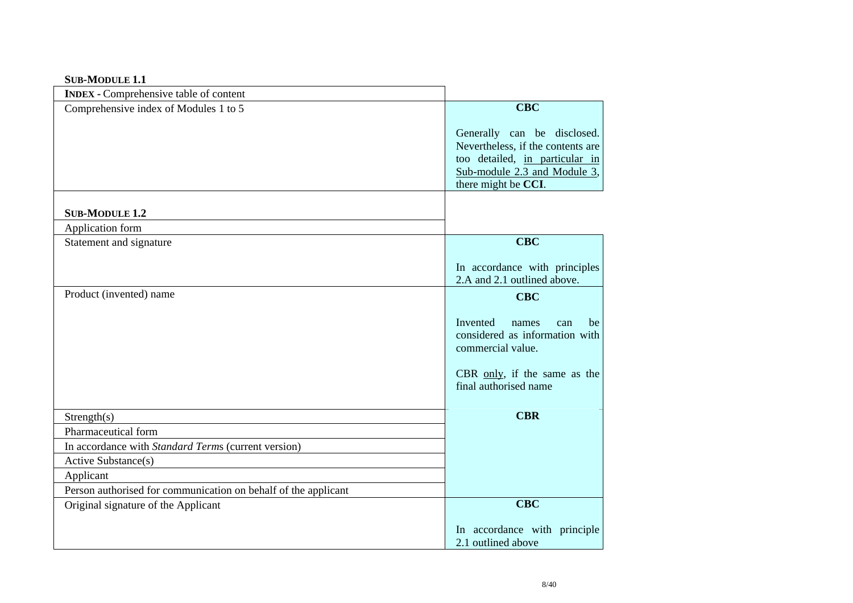### **SUB-MODULE 1.1**

| <b>INDEX</b> - Comprehensive table of content                  |                                                                                                                                                           |
|----------------------------------------------------------------|-----------------------------------------------------------------------------------------------------------------------------------------------------------|
| Comprehensive index of Modules 1 to 5                          | <b>CBC</b>                                                                                                                                                |
|                                                                | Generally can be disclosed.<br>Nevertheless, if the contents are<br>too detailed, in particular in<br>Sub-module 2.3 and Module 3,<br>there might be CCI. |
| <b>SUB-MODULE 1.2</b>                                          |                                                                                                                                                           |
| Application form                                               |                                                                                                                                                           |
| Statement and signature                                        | <b>CBC</b>                                                                                                                                                |
|                                                                | In accordance with principles<br>2.A and 2.1 outlined above.                                                                                              |
| Product (invented) name                                        | <b>CBC</b>                                                                                                                                                |
|                                                                | Invented<br>names<br>can<br>be<br>considered as information with<br>commercial value.                                                                     |
|                                                                | CBR only, if the same as the<br>final authorised name                                                                                                     |
| Strength(s)                                                    | <b>CBR</b>                                                                                                                                                |
| Pharmaceutical form                                            |                                                                                                                                                           |
| In accordance with Standard Terms (current version)            |                                                                                                                                                           |
| Active Substance(s)                                            |                                                                                                                                                           |
| Applicant                                                      |                                                                                                                                                           |
| Person authorised for communication on behalf of the applicant |                                                                                                                                                           |
| Original signature of the Applicant                            | <b>CBC</b>                                                                                                                                                |
|                                                                | In accordance with principle<br>2.1 outlined above                                                                                                        |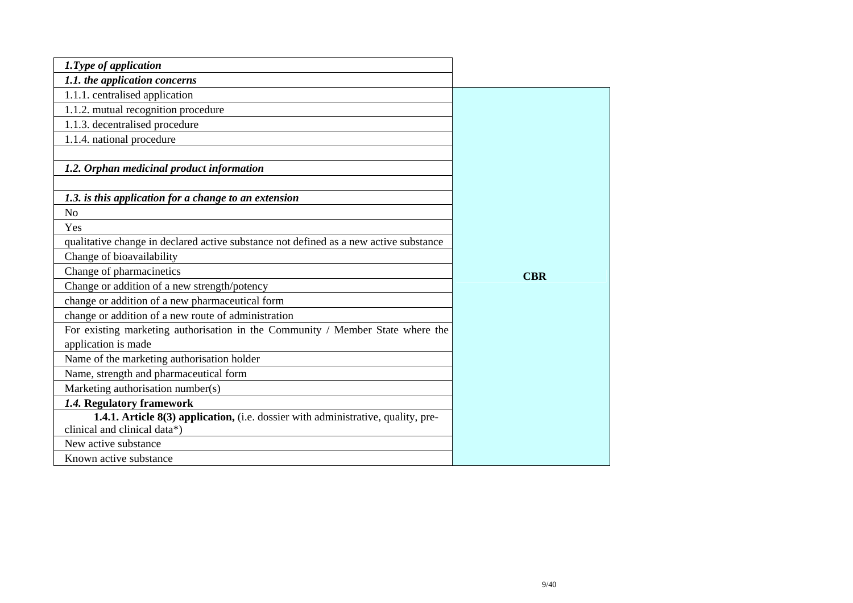| 1. Type of application                                                                |            |
|---------------------------------------------------------------------------------------|------------|
| 1.1. the application concerns                                                         |            |
| 1.1.1. centralised application                                                        |            |
| 1.1.2. mutual recognition procedure                                                   |            |
| 1.1.3. decentralised procedure                                                        |            |
| 1.1.4. national procedure                                                             |            |
|                                                                                       |            |
| 1.2. Orphan medicinal product information                                             |            |
|                                                                                       |            |
| 1.3. is this application for a change to an extension                                 |            |
| N <sub>o</sub>                                                                        |            |
| Yes                                                                                   |            |
| qualitative change in declared active substance not defined as a new active substance |            |
| Change of bioavailability                                                             |            |
| Change of pharmacinetics                                                              | <b>CBR</b> |
| Change or addition of a new strength/potency                                          |            |
| change or addition of a new pharmaceutical form                                       |            |
| change or addition of a new route of administration                                   |            |
| For existing marketing authorisation in the Community / Member State where the        |            |
| application is made                                                                   |            |
| Name of the marketing authorisation holder                                            |            |
| Name, strength and pharmaceutical form                                                |            |
| Marketing authorisation number(s)                                                     |            |
| 1.4. Regulatory framework                                                             |            |
| 1.4.1. Article 8(3) application, (i.e. dossier with administrative, quality, pre-     |            |
| clinical and clinical data*)                                                          |            |
| New active substance                                                                  |            |
| Known active substance                                                                |            |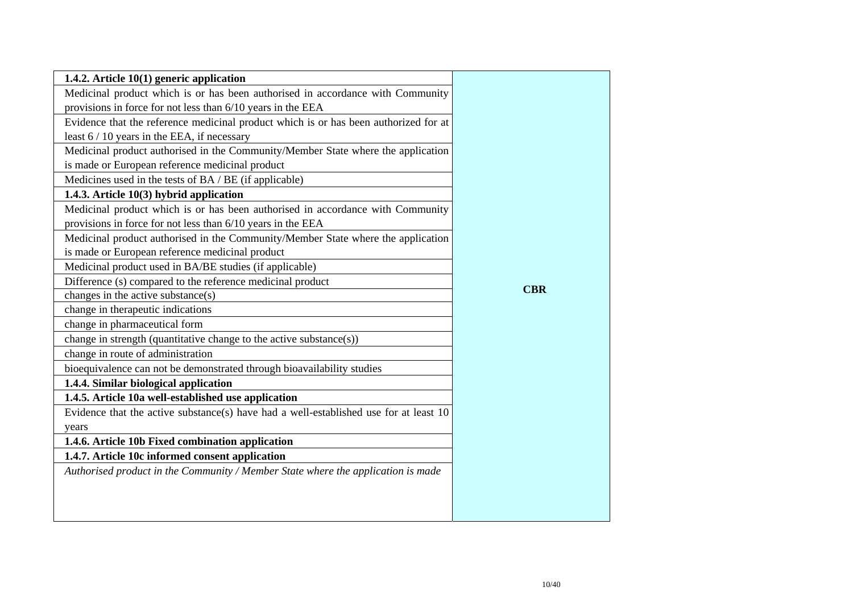| 1.4.2. Article 10(1) generic application                                              |            |
|---------------------------------------------------------------------------------------|------------|
| Medicinal product which is or has been authorised in accordance with Community        |            |
| provisions in force for not less than 6/10 years in the EEA                           |            |
| Evidence that the reference medicinal product which is or has been authorized for at  |            |
| least 6 / 10 years in the EEA, if necessary                                           |            |
| Medicinal product authorised in the Community/Member State where the application      |            |
| is made or European reference medicinal product                                       |            |
| Medicines used in the tests of BA / BE (if applicable)                                |            |
| 1.4.3. Article 10(3) hybrid application                                               |            |
| Medicinal product which is or has been authorised in accordance with Community        |            |
| provisions in force for not less than 6/10 years in the EEA                           |            |
| Medicinal product authorised in the Community/Member State where the application      |            |
| is made or European reference medicinal product                                       |            |
| Medicinal product used in BA/BE studies (if applicable)                               |            |
| Difference (s) compared to the reference medicinal product                            |            |
| changes in the active substance(s)                                                    | <b>CBR</b> |
| change in therapeutic indications                                                     |            |
| change in pharmaceutical form                                                         |            |
| change in strength (quantitative change to the active substance(s))                   |            |
| change in route of administration                                                     |            |
| bioequivalence can not be demonstrated through bioavailability studies                |            |
| 1.4.4. Similar biological application                                                 |            |
| 1.4.5. Article 10a well-established use application                                   |            |
| Evidence that the active substance(s) have had a well-established use for at least 10 |            |
| years                                                                                 |            |
| 1.4.6. Article 10b Fixed combination application                                      |            |
| 1.4.7. Article 10c informed consent application                                       |            |
| Authorised product in the Community / Member State where the application is made      |            |
|                                                                                       |            |
|                                                                                       |            |
|                                                                                       |            |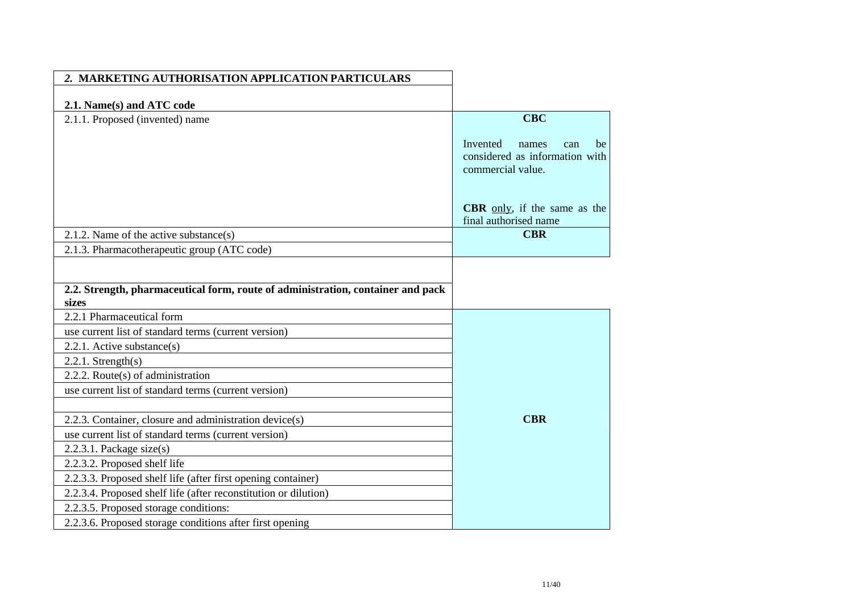| 2. MARKETING AUTHORISATION APPLICATION PARTICULARS                              |                                     |
|---------------------------------------------------------------------------------|-------------------------------------|
|                                                                                 |                                     |
| 2.1. Name(s) and ATC code                                                       |                                     |
| 2.1.1. Proposed (invented) name                                                 | <b>CBC</b>                          |
|                                                                                 | Invented<br>names<br>be<br>can      |
|                                                                                 | considered as information with      |
|                                                                                 | commercial value.                   |
|                                                                                 |                                     |
|                                                                                 | <b>CBR</b> only, if the same as the |
|                                                                                 | final authorised name               |
| 2.1.2. Name of the active substance(s)                                          | <b>CBR</b>                          |
| 2.1.3. Pharmacotherapeutic group (ATC code)                                     |                                     |
|                                                                                 |                                     |
|                                                                                 |                                     |
| 2.2. Strength, pharmaceutical form, route of administration, container and pack |                                     |
| sizes                                                                           |                                     |
| 2.2.1 Pharmaceutical form                                                       |                                     |
| use current list of standard terms (current version)                            |                                     |
| $2.2.1$ . Active substance(s)                                                   |                                     |
| $2.2.1$ . Strength $(s)$                                                        |                                     |
| 2.2.2. Route $(s)$ of administration                                            |                                     |
| use current list of standard terms (current version)                            |                                     |
|                                                                                 |                                     |
| 2.2.3. Container, closure and administration device(s)                          | <b>CBR</b>                          |
| use current list of standard terms (current version)                            |                                     |
| $2.2.3.1$ . Package size(s)                                                     |                                     |
| 2.2.3.2. Proposed shelf life                                                    |                                     |
| 2.2.3.3. Proposed shelf life (after first opening container)                    |                                     |
| 2.2.3.4. Proposed shelf life (after reconstitution or dilution)                 |                                     |
| 2.2.3.5. Proposed storage conditions:                                           |                                     |
| 2.2.3.6. Proposed storage conditions after first opening                        |                                     |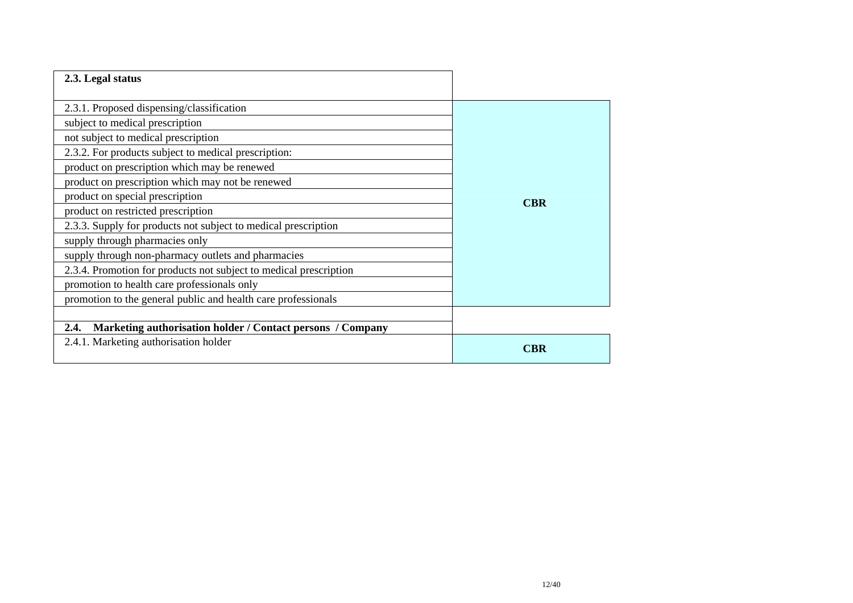| 2.3. Legal status                                                  |            |
|--------------------------------------------------------------------|------------|
|                                                                    |            |
| 2.3.1. Proposed dispensing/classification                          |            |
| subject to medical prescription                                    |            |
| not subject to medical prescription                                |            |
| 2.3.2. For products subject to medical prescription:               |            |
| product on prescription which may be renewed                       |            |
| product on prescription which may not be renewed                   |            |
| product on special prescription                                    | <b>CBR</b> |
| product on restricted prescription                                 |            |
| 2.3.3. Supply for products not subject to medical prescription     |            |
| supply through pharmacies only                                     |            |
| supply through non-pharmacy outlets and pharmacies                 |            |
| 2.3.4. Promotion for products not subject to medical prescription  |            |
| promotion to health care professionals only                        |            |
| promotion to the general public and health care professionals      |            |
|                                                                    |            |
| Marketing authorisation holder / Contact persons / Company<br>2.4. |            |
| 2.4.1. Marketing authorisation holder                              | <b>CBR</b> |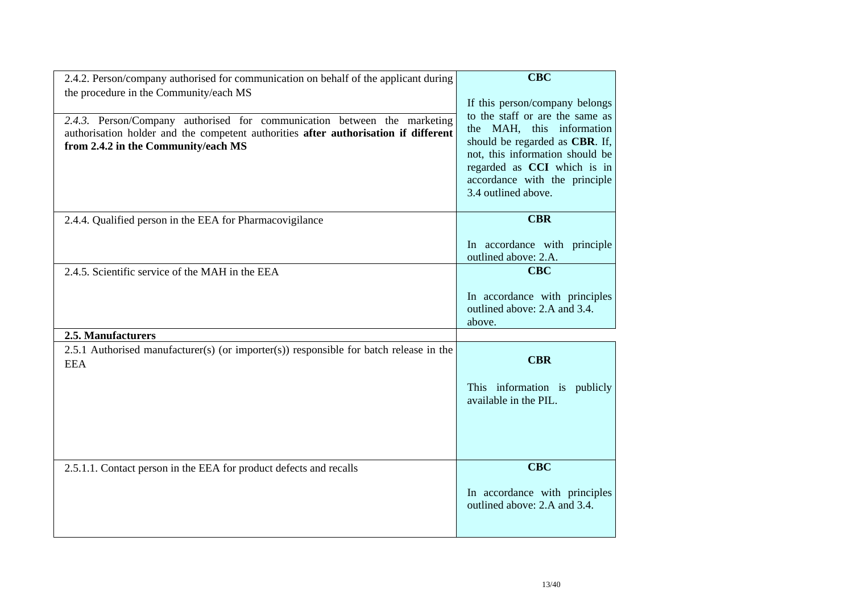| 2.4.2. Person/company authorised for communication on behalf of the applicant during<br>the procedure in the Community/each MS<br>2.4.3. Person/Company authorised for communication between the marketing<br>authorisation holder and the competent authorities after authorisation if different<br>from 2.4.2 in the Community/each MS | <b>CBC</b><br>If this person/company belongs<br>to the staff or are the same as<br>the MAH, this information<br>should be regarded as CBR. If,<br>not, this information should be<br>regarded as CCI which is in<br>accordance with the principle<br>3.4 outlined above. |
|------------------------------------------------------------------------------------------------------------------------------------------------------------------------------------------------------------------------------------------------------------------------------------------------------------------------------------------|--------------------------------------------------------------------------------------------------------------------------------------------------------------------------------------------------------------------------------------------------------------------------|
| 2.4.4. Qualified person in the EEA for Pharmacovigilance                                                                                                                                                                                                                                                                                 | <b>CBR</b>                                                                                                                                                                                                                                                               |
|                                                                                                                                                                                                                                                                                                                                          | In accordance with principle<br>outlined above: 2.A.                                                                                                                                                                                                                     |
| 2.4.5. Scientific service of the MAH in the EEA                                                                                                                                                                                                                                                                                          | <b>CBC</b>                                                                                                                                                                                                                                                               |
|                                                                                                                                                                                                                                                                                                                                          | In accordance with principles<br>outlined above: 2.A and 3.4.<br>above.                                                                                                                                                                                                  |
| 2.5. Manufacturers                                                                                                                                                                                                                                                                                                                       |                                                                                                                                                                                                                                                                          |
| 2.5.1 Authorised manufacturer(s) (or importer(s)) responsible for batch release in the<br><b>EEA</b>                                                                                                                                                                                                                                     | <b>CBR</b><br>This information is publicly<br>available in the PIL.                                                                                                                                                                                                      |
|                                                                                                                                                                                                                                                                                                                                          |                                                                                                                                                                                                                                                                          |
| 2.5.1.1. Contact person in the EEA for product defects and recalls                                                                                                                                                                                                                                                                       | <b>CBC</b><br>In accordance with principles<br>outlined above: 2.A and 3.4.                                                                                                                                                                                              |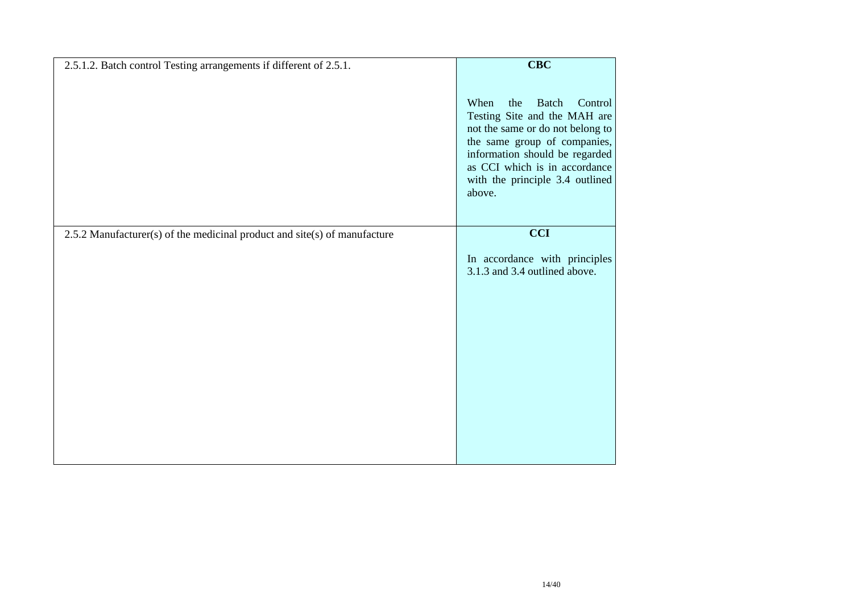| 2.5.1.2. Batch control Testing arrangements if different of 2.5.1.        | $CBC$                                                                                                                                                                                                                                                      |
|---------------------------------------------------------------------------|------------------------------------------------------------------------------------------------------------------------------------------------------------------------------------------------------------------------------------------------------------|
|                                                                           | When<br><b>Batch</b><br>the<br>Control<br>Testing Site and the MAH are<br>not the same or do not belong to<br>the same group of companies,<br>information should be regarded<br>as CCI which is in accordance<br>with the principle 3.4 outlined<br>above. |
| 2.5.2 Manufacturer(s) of the medicinal product and site(s) of manufacture | <b>CCI</b>                                                                                                                                                                                                                                                 |
|                                                                           | In accordance with principles<br>3.1.3 and 3.4 outlined above.                                                                                                                                                                                             |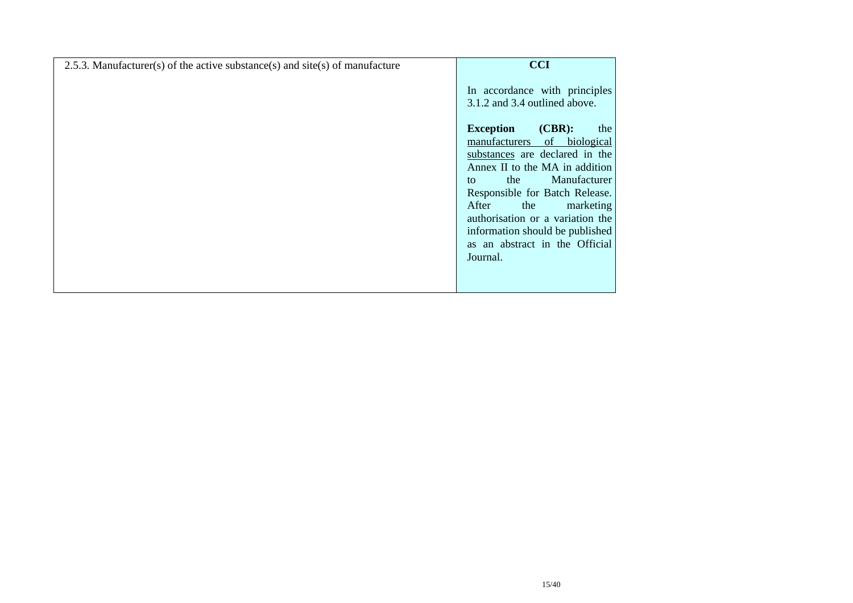| 2.5.3. Manufacturer(s) of the active substance(s) and site(s) of manufacture | <b>CCI</b>                                                        |
|------------------------------------------------------------------------------|-------------------------------------------------------------------|
|                                                                              | In accordance with principles<br>3.1.2 and 3.4 outlined above.    |
|                                                                              | $(CBR)$ :<br><b>Exception</b><br>the                              |
|                                                                              | biological<br>manufacturers<br>of                                 |
|                                                                              | substances are declared in the<br>Annex II to the MA in addition  |
|                                                                              | Manufacturer<br>the<br>to                                         |
|                                                                              | Responsible for Batch Release.                                    |
|                                                                              | After<br>marketing<br>the                                         |
|                                                                              | authorisation or a variation the                                  |
|                                                                              | information should be published<br>as an abstract in the Official |
|                                                                              | Journal.                                                          |
|                                                                              |                                                                   |
|                                                                              |                                                                   |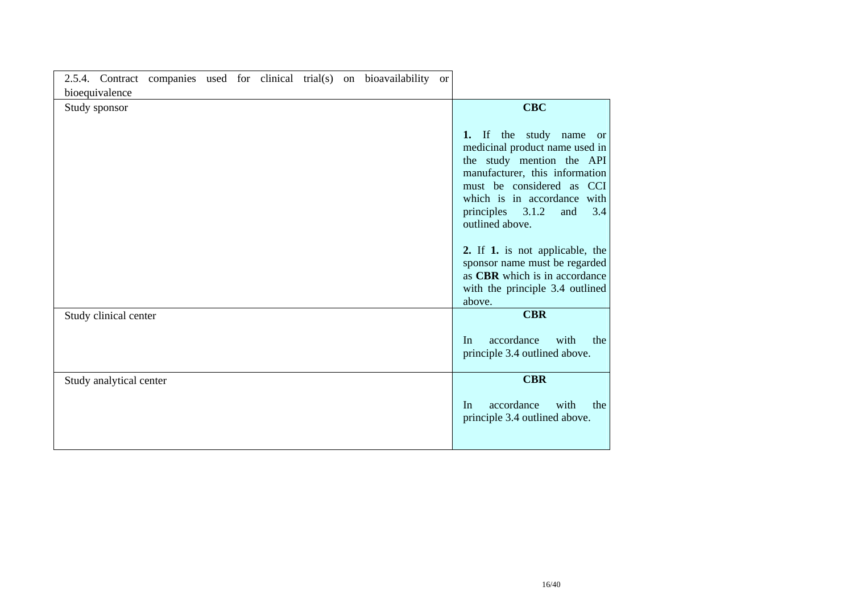| 2.5.4. Contract companies used for clinical trial(s) on bioavailability |  | <sub>or</sub> |                                                                                                                                                                                                                                                                                                                                                |
|-------------------------------------------------------------------------|--|---------------|------------------------------------------------------------------------------------------------------------------------------------------------------------------------------------------------------------------------------------------------------------------------------------------------------------------------------------------------|
| bioequivalence                                                          |  |               |                                                                                                                                                                                                                                                                                                                                                |
| Study sponsor                                                           |  |               | <b>CBC</b><br>the study name or<br>$\mathbf{H}$<br>1.<br>medicinal product name used in<br>the study mention the API<br>manufacturer, this information<br>must be considered as CCI<br>which is in accordance with<br>3.1.2<br>principles<br>3.4<br>and<br>outlined above.<br>2. If 1. is not applicable, the<br>sponsor name must be regarded |
|                                                                         |  |               | as CBR which is in accordance<br>with the principle 3.4 outlined<br>above.                                                                                                                                                                                                                                                                     |
| Study clinical center                                                   |  |               | <b>CBR</b>                                                                                                                                                                                                                                                                                                                                     |
|                                                                         |  |               | accordance<br>with<br>the<br>In<br>principle 3.4 outlined above.                                                                                                                                                                                                                                                                               |
| Study analytical center                                                 |  |               | <b>CBR</b>                                                                                                                                                                                                                                                                                                                                     |
|                                                                         |  |               | accordance<br>with<br>the<br>In<br>principle 3.4 outlined above.                                                                                                                                                                                                                                                                               |

÷,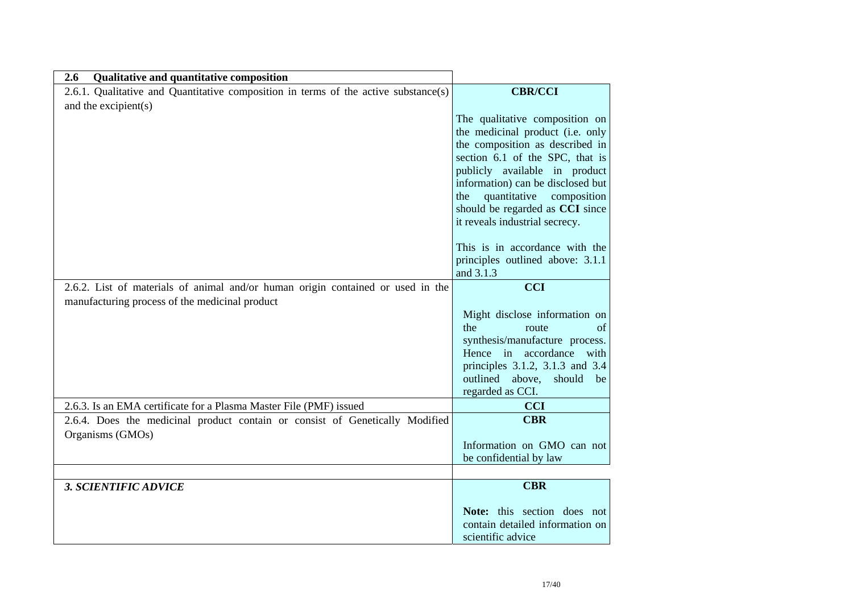| 2.6<br>Qualitative and quantitative composition                                     |                                                                    |
|-------------------------------------------------------------------------------------|--------------------------------------------------------------------|
| 2.6.1. Qualitative and Quantitative composition in terms of the active substance(s) | <b>CBR/CCI</b>                                                     |
| and the excipient(s)                                                                |                                                                    |
|                                                                                     | The qualitative composition on                                     |
|                                                                                     | the medicinal product (i.e. only                                   |
|                                                                                     | the composition as described in                                    |
|                                                                                     | section 6.1 of the SPC, that is                                    |
|                                                                                     | publicly available in product<br>information) can be disclosed but |
|                                                                                     | quantitative<br>the<br>composition                                 |
|                                                                                     | should be regarded as CCI since                                    |
|                                                                                     | it reveals industrial secrecy.                                     |
|                                                                                     | This is in accordance with the                                     |
|                                                                                     | principles outlined above: 3.1.1                                   |
|                                                                                     | and 3.1.3                                                          |
| 2.6.2. List of materials of animal and/or human origin contained or used in the     | <b>CCI</b>                                                         |
| manufacturing process of the medicinal product                                      |                                                                    |
|                                                                                     | Might disclose information on                                      |
|                                                                                     | the<br>route<br>of<br>synthesis/manufacture process.               |
|                                                                                     | Hence in accordance with                                           |
|                                                                                     | principles 3.1.2, 3.1.3 and 3.4                                    |
|                                                                                     | outlined above, should<br>be                                       |
|                                                                                     | regarded as CCI.                                                   |
| 2.6.3. Is an EMA certificate for a Plasma Master File (PMF) issued                  | <b>CCI</b>                                                         |
| 2.6.4. Does the medicinal product contain or consist of Genetically Modified        | <b>CBR</b>                                                         |
| Organisms (GMOs)                                                                    | Information on GMO can not                                         |
|                                                                                     | be confidential by law                                             |
|                                                                                     |                                                                    |
| <b>3. SCIENTIFIC ADVICE</b>                                                         | <b>CBR</b>                                                         |
|                                                                                     | Note: this section does not                                        |
|                                                                                     | contain detailed information on                                    |
|                                                                                     | scientific advice                                                  |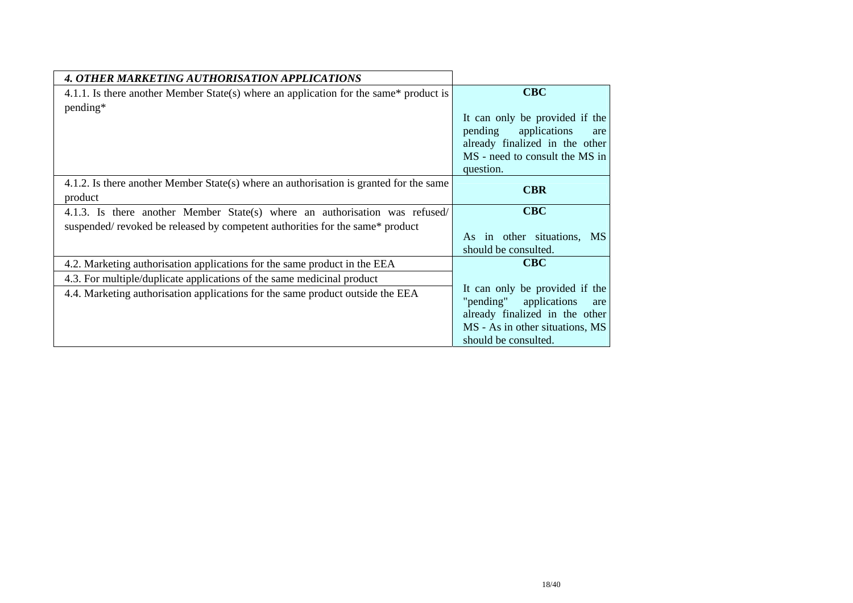| 4. OTHER MARKETING AUTHORISATION APPLICATIONS                                                     |                                                                                                                                                                 |
|---------------------------------------------------------------------------------------------------|-----------------------------------------------------------------------------------------------------------------------------------------------------------------|
| 4.1.1. Is there another Member State(s) where an application for the same* product is             | <b>CBC</b>                                                                                                                                                      |
| pending*                                                                                          | It can only be provided if the                                                                                                                                  |
|                                                                                                   | pending<br>applications<br>are                                                                                                                                  |
|                                                                                                   | already finalized in the other<br>MS - need to consult the MS in                                                                                                |
|                                                                                                   | question.                                                                                                                                                       |
| 4.1.2. Is there another Member State(s) where an authorisation is granted for the same<br>product | <b>CBR</b>                                                                                                                                                      |
| 4.1.3. Is there another Member State(s) where an authorisation was refused/                       | <b>CBC</b>                                                                                                                                                      |
| suspended/ revoked be released by competent authorities for the same* product                     | in other situations,<br>As<br><b>MS</b><br>should be consulted.                                                                                                 |
| 4.2. Marketing authorisation applications for the same product in the EEA                         | <b>CBC</b>                                                                                                                                                      |
| 4.3. For multiple/duplicate applications of the same medicinal product                            |                                                                                                                                                                 |
| 4.4. Marketing authorisation applications for the same product outside the EEA                    | It can only be provided if the<br>"pending"<br>applications<br>are<br>already finalized in the other<br>MS - As in other situations, MS<br>should be consulted. |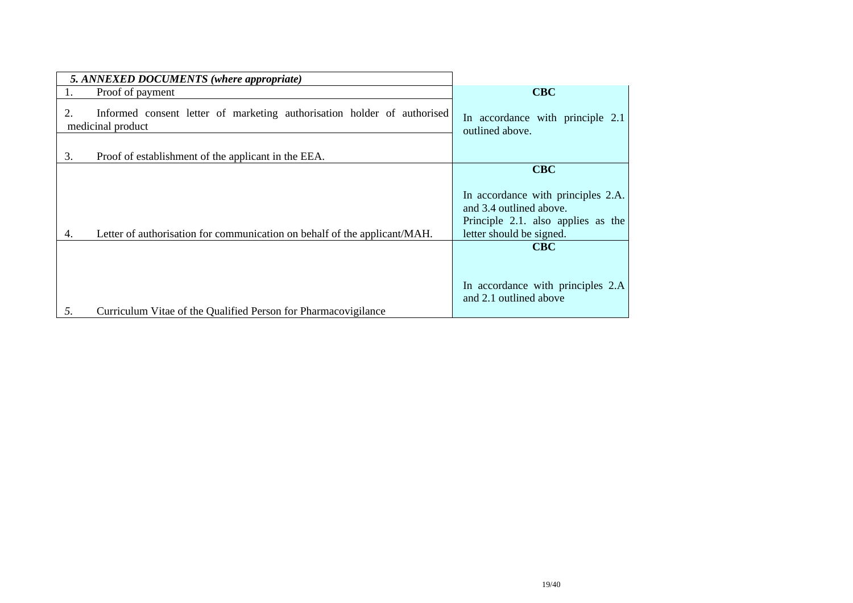| 5. ANNEXED DOCUMENTS (where appropriate)                                                           |                                                                                                                                          |
|----------------------------------------------------------------------------------------------------|------------------------------------------------------------------------------------------------------------------------------------------|
| Proof of payment                                                                                   | <b>CBC</b>                                                                                                                               |
| Informed consent letter of marketing authorisation holder of authorised<br>2.<br>medicinal product | In accordance with principle 2.1<br>outlined above.                                                                                      |
| 3.<br>Proof of establishment of the applicant in the EEA.                                          |                                                                                                                                          |
| Letter of authorisation for communication on behalf of the applicant/MAH.<br>4.                    | $CBC$<br>In accordance with principles 2.A.<br>and 3.4 outlined above.<br>Principle 2.1. also applies as the<br>letter should be signed. |
| 5.<br>Curriculum Vitae of the Qualified Person for Pharmacovigilance                               | <b>CBC</b><br>In accordance with principles 2.A<br>and 2.1 outlined above                                                                |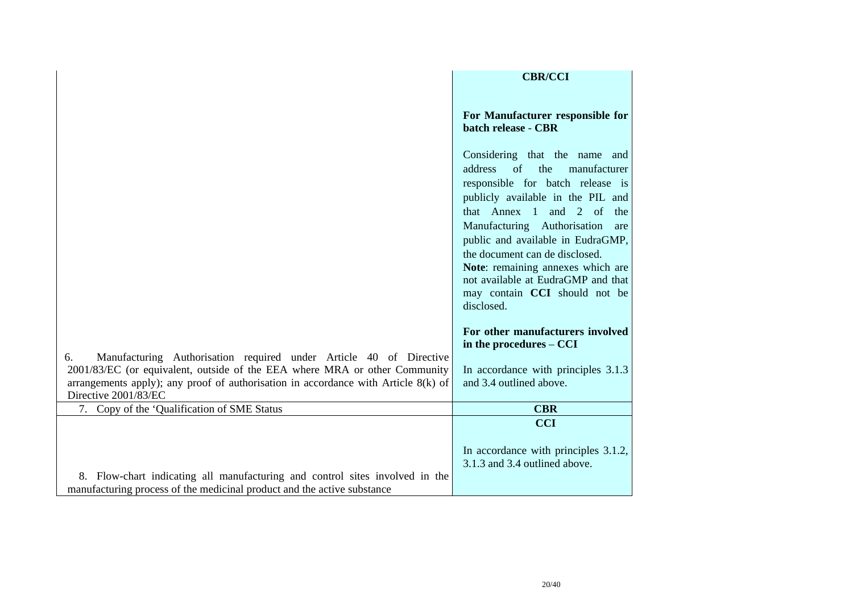|                                                                                                                                                                                            | <b>CBR/CCI</b>                                                                                                                                                                                                                                                                                                                                                         |
|--------------------------------------------------------------------------------------------------------------------------------------------------------------------------------------------|------------------------------------------------------------------------------------------------------------------------------------------------------------------------------------------------------------------------------------------------------------------------------------------------------------------------------------------------------------------------|
|                                                                                                                                                                                            | For Manufacturer responsible for<br>batch release - CBR                                                                                                                                                                                                                                                                                                                |
|                                                                                                                                                                                            | Considering that the name and<br>address<br>of<br>the<br>manufacturer<br>responsible for batch release is<br>publicly available in the PIL and<br>that Annex 1 and 2 of<br>the<br>Manufacturing Authorisation<br>are<br>public and available in EudraGMP,<br>the document can de disclosed.<br>Note: remaining annexes which are<br>not available at EudraGMP and that |
|                                                                                                                                                                                            | may contain CCI should not be<br>disclosed.                                                                                                                                                                                                                                                                                                                            |
| Manufacturing Authorisation required under Article 40 of Directive<br>6.                                                                                                                   | For other manufacturers involved<br>in the procedures – CCI                                                                                                                                                                                                                                                                                                            |
| 2001/83/EC (or equivalent, outside of the EEA where MRA or other Community<br>arrangements apply); any proof of authorisation in accordance with Article $8(k)$ of<br>Directive 2001/83/EC | In accordance with principles 3.1.3<br>and 3.4 outlined above.                                                                                                                                                                                                                                                                                                         |
| 7. Copy of the 'Qualification of SME Status                                                                                                                                                | <b>CBR</b>                                                                                                                                                                                                                                                                                                                                                             |
| 8. Flow-chart indicating all manufacturing and control sites involved in the<br>manufacturing process of the medicinal product and the active substance                                    | <b>CCI</b><br>In accordance with principles 3.1.2,<br>3.1.3 and 3.4 outlined above.                                                                                                                                                                                                                                                                                    |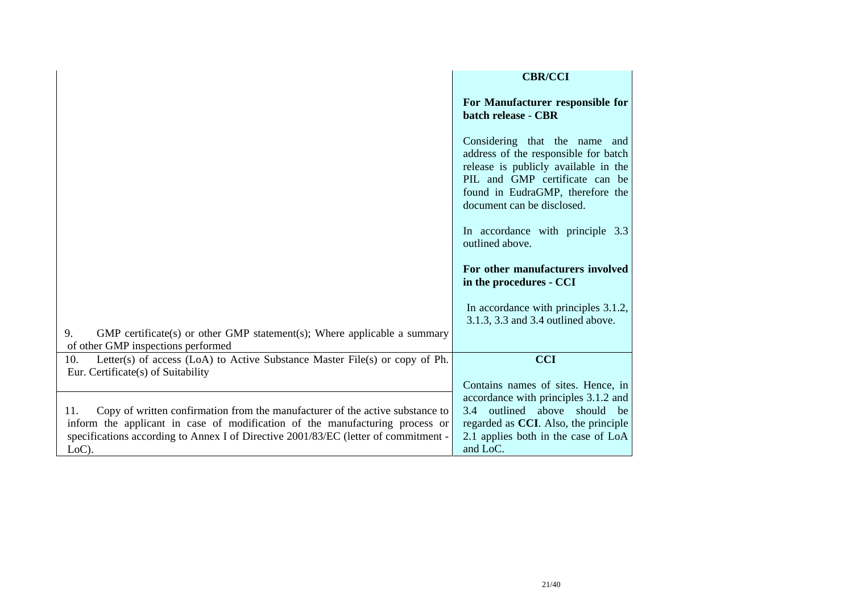|                                                                                                                                                                                                                                                                         | <b>CBR/CCI</b>                                                                                                                                                                                                       |
|-------------------------------------------------------------------------------------------------------------------------------------------------------------------------------------------------------------------------------------------------------------------------|----------------------------------------------------------------------------------------------------------------------------------------------------------------------------------------------------------------------|
|                                                                                                                                                                                                                                                                         | For Manufacturer responsible for<br>batch release - CBR                                                                                                                                                              |
|                                                                                                                                                                                                                                                                         | Considering that the name<br>and<br>address of the responsible for batch<br>release is publicly available in the<br>PIL and GMP certificate can be<br>found in EudraGMP, therefore the<br>document can be disclosed. |
|                                                                                                                                                                                                                                                                         | In accordance with principle 3.3<br>outlined above.                                                                                                                                                                  |
|                                                                                                                                                                                                                                                                         | For other manufacturers involved<br>in the procedures - CCI                                                                                                                                                          |
| 9.<br>$GMP$ certificate(s) or other $GMP$ statement(s); Where applicable a summary<br>of other GMP inspections performed                                                                                                                                                | In accordance with principles 3.1.2,<br>3.1.3, 3.3 and 3.4 outlined above.                                                                                                                                           |
| Letter(s) of access (LoA) to Active Substance Master File(s) or copy of Ph.<br>10.<br>Eur. Certificate(s) of Suitability                                                                                                                                                | <b>CCI</b>                                                                                                                                                                                                           |
| Copy of written confirmation from the manufacturer of the active substance to<br>11.<br>inform the applicant in case of modification of the manufacturing process or<br>specifications according to Annex I of Directive 2001/83/EC (letter of commitment -<br>$LoC$ ). | Contains names of sites. Hence, in<br>accordance with principles 3.1.2 and<br>3.4 outlined above should be<br>regarded as CCI. Also, the principle<br>2.1 applies both in the case of LoA<br>and LoC.                |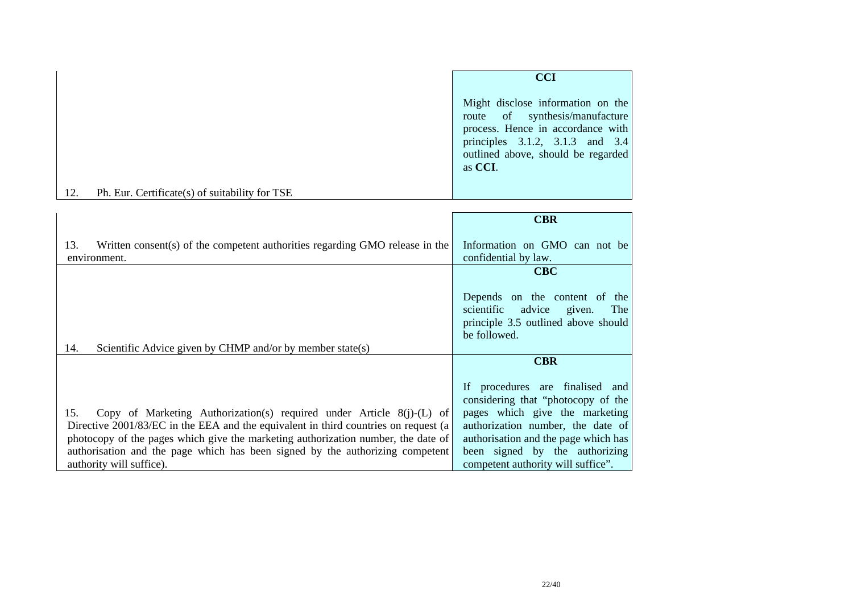|     |                                                | <b>CCI</b>                                                                                                                                                                                          |
|-----|------------------------------------------------|-----------------------------------------------------------------------------------------------------------------------------------------------------------------------------------------------------|
|     |                                                | Might disclose information on the<br>route of synthesis/manufacture<br>process. Hence in accordance with<br>principles $3.1.2$ , $3.1.3$ and $3.4$<br>outlined above, should be regarded<br>as CCI. |
| 12. | Ph. Eur. Certificate(s) of suitability for TSE |                                                                                                                                                                                                     |

|                                                                                                                                                                    | <b>CBR</b>                                                                                                                    |
|--------------------------------------------------------------------------------------------------------------------------------------------------------------------|-------------------------------------------------------------------------------------------------------------------------------|
| Written consent(s) of the competent authorities regarding GMO release in the<br>13.<br>environment.                                                                | Information on GMO can not be<br>confidential by law.                                                                         |
|                                                                                                                                                                    | <b>CBC</b>                                                                                                                    |
|                                                                                                                                                                    | Depends on the content of the<br>scientific<br>advice<br>given.<br>The<br>principle 3.5 outlined above should<br>be followed. |
| Scientific Advice given by CHMP and/or by member state(s)<br>14.                                                                                                   |                                                                                                                               |
|                                                                                                                                                                    | <b>CBR</b>                                                                                                                    |
| Copy of Marketing Authorization(s) required under Article $8(j)-(L)$ of<br>15.                                                                                     | If procedures are finalised and<br>considering that "photocopy of the<br>pages which give the marketing                       |
| Directive 2001/83/EC in the EEA and the equivalent in third countries on request (a                                                                                | authorization number, the date of                                                                                             |
| photocopy of the pages which give the marketing authorization number, the date of<br>authorisation and the page which has been signed by the authorizing competent | authorisation and the page which has<br>been signed by the authorizing                                                        |
| authority will suffice).                                                                                                                                           | competent authority will suffice".                                                                                            |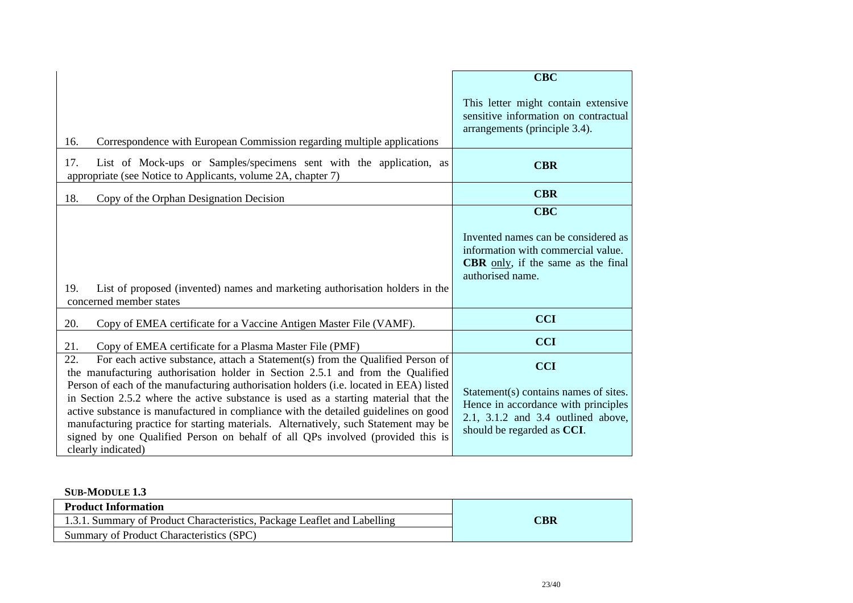|                                                                                                                                                                                                                                                                                                                                                                                                                                                                                                                                                                                                                                               | <b>CBC</b>                                                                                                                                                     |
|-----------------------------------------------------------------------------------------------------------------------------------------------------------------------------------------------------------------------------------------------------------------------------------------------------------------------------------------------------------------------------------------------------------------------------------------------------------------------------------------------------------------------------------------------------------------------------------------------------------------------------------------------|----------------------------------------------------------------------------------------------------------------------------------------------------------------|
| 16.<br>Correspondence with European Commission regarding multiple applications                                                                                                                                                                                                                                                                                                                                                                                                                                                                                                                                                                | This letter might contain extensive<br>sensitive information on contractual<br>arrangements (principle 3.4).                                                   |
| List of Mock-ups or Samples/specimens sent with the application, as<br>17.<br>appropriate (see Notice to Applicants, volume 2A, chapter 7)                                                                                                                                                                                                                                                                                                                                                                                                                                                                                                    | <b>CBR</b>                                                                                                                                                     |
| 18.<br>Copy of the Orphan Designation Decision                                                                                                                                                                                                                                                                                                                                                                                                                                                                                                                                                                                                | <b>CBR</b>                                                                                                                                                     |
| 19.<br>List of proposed (invented) names and marketing authorisation holders in the<br>concerned member states                                                                                                                                                                                                                                                                                                                                                                                                                                                                                                                                | <b>CBC</b><br>Invented names can be considered as<br>information with commercial value.<br><b>CBR</b> only, if the same as the final<br>authorised name.       |
| 20.<br>Copy of EMEA certificate for a Vaccine Antigen Master File (VAMF).                                                                                                                                                                                                                                                                                                                                                                                                                                                                                                                                                                     | <b>CCI</b>                                                                                                                                                     |
| 21.<br>Copy of EMEA certificate for a Plasma Master File (PMF)                                                                                                                                                                                                                                                                                                                                                                                                                                                                                                                                                                                | <b>CCI</b>                                                                                                                                                     |
| 22.<br>For each active substance, attach a Statement(s) from the Qualified Person of<br>the manufacturing authorisation holder in Section 2.5.1 and from the Qualified<br>Person of each of the manufacturing authorisation holders (i.e. located in EEA) listed<br>in Section 2.5.2 where the active substance is used as a starting material that the<br>active substance is manufactured in compliance with the detailed guidelines on good<br>manufacturing practice for starting materials. Alternatively, such Statement may be<br>signed by one Qualified Person on behalf of all QPs involved (provided this is<br>clearly indicated) | <b>CCI</b><br>Statement(s) contains names of sites.<br>Hence in accordance with principles<br>2.1, 3.1.2 and 3.4 outlined above,<br>should be regarded as CCI. |

#### **SUB-MODULE 1.3**

| <b>Product Information</b>                                               |     |
|--------------------------------------------------------------------------|-----|
| 1.3.1. Summary of Product Characteristics, Package Leaflet and Labelling | CBR |
| Summary of Product Characteristics (SPC)                                 |     |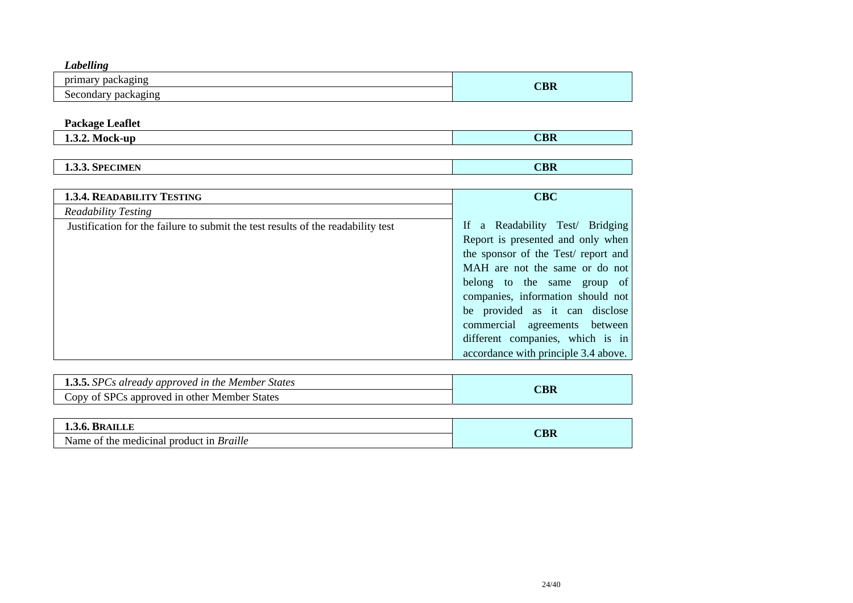| $\mathbf{v}$<br>Labelling |     |
|---------------------------|-----|
| packaging<br>primary      | CBR |
| Secondary<br>packaging    |     |

# **Package Leaflet**

| M<br>-un<br>.<br>TIONS INTO THE | <b>CBR</b> |
|---------------------------------|------------|
|                                 |            |

| <b>CIMEN</b><br>SPEC<br>,,<br>エロジャー | <b>ADI</b><br>СВК |
|-------------------------------------|-------------------|
|                                     |                   |

| <b>1.3.4. READABILITY TESTING</b>                                                | <b>CBC</b>                           |
|----------------------------------------------------------------------------------|--------------------------------------|
| Readability Testing                                                              |                                      |
| Justification for the failure to submit the test results of the readability test | If a Readability Test/ Bridging      |
|                                                                                  | Report is presented and only when    |
|                                                                                  | the sponsor of the Test/ report and  |
|                                                                                  | MAH are not the same or do not       |
|                                                                                  | belong to the same group of          |
|                                                                                  | companies, information should not    |
|                                                                                  | be provided as it can disclose       |
|                                                                                  | commercial agreements between        |
|                                                                                  | different companies, which is in     |
|                                                                                  | accordance with principle 3.4 above. |

| <b>1.3.5.</b> SPCs already approved in the Member States |   |
|----------------------------------------------------------|---|
| Copy of SPCs approved in other Member States             | w |

| <b>1.3.6. BRAILLE</b>                           |                        |
|-------------------------------------------------|------------------------|
| Name of the medicinal product in <i>Braille</i> | $\mathbb C\mathbf{BR}$ |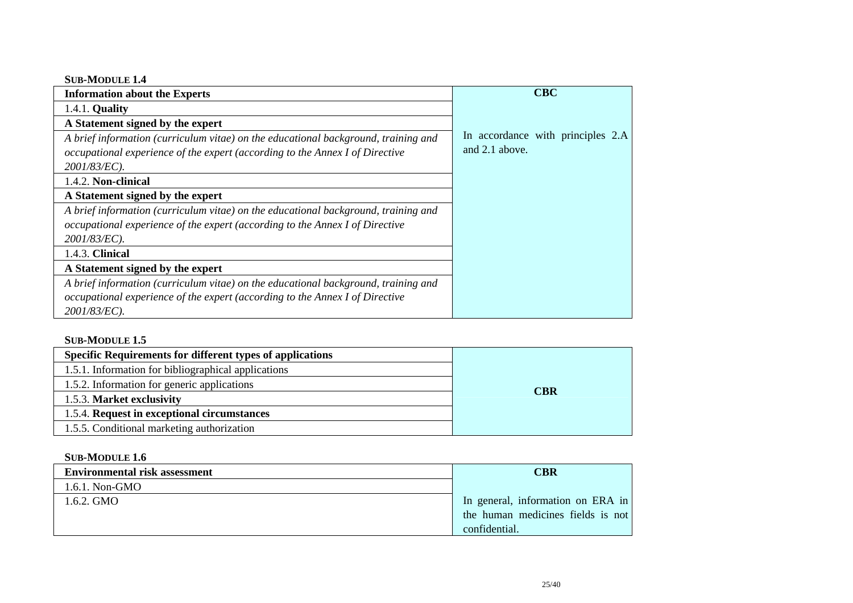### **SUB-MODULE 1.4**

| <b>Information about the Experts</b>                                               | <b>CBC</b>                        |
|------------------------------------------------------------------------------------|-----------------------------------|
| 1.4.1. <b>Quality</b>                                                              |                                   |
| A Statement signed by the expert                                                   |                                   |
| A brief information (curriculum vitae) on the educational background, training and | In accordance with principles 2.A |
| occupational experience of the expert (according to the Annex I of Directive       | and 2.1 above.                    |
| 2001/83/EC).                                                                       |                                   |
| 1.4.2. Non-clinical                                                                |                                   |
| A Statement signed by the expert                                                   |                                   |
| A brief information (curriculum vitae) on the educational background, training and |                                   |
| occupational experience of the expert (according to the Annex I of Directive       |                                   |
| 2001/83/EC).                                                                       |                                   |
| 1.4.3. Clinical                                                                    |                                   |
| A Statement signed by the expert                                                   |                                   |
| A brief information (curriculum vitae) on the educational background, training and |                                   |
| occupational experience of the expert (according to the Annex I of Directive       |                                   |
| 2001/83/EC).                                                                       |                                   |

## **SUB-MODULE 1.5**

| <b>Specific Requirements for different types of applications</b> |            |
|------------------------------------------------------------------|------------|
| 1.5.1. Information for bibliographical applications              |            |
| 1.5.2. Information for generic applications                      | <b>CBR</b> |
| 1.5.3. Market exclusivity                                        |            |
| 1.5.4. Request in exceptional circumstances                      |            |
| 1.5.5. Conditional marketing authorization                       |            |

## **SUB-MODULE 1.6**

| <b>Environmental risk assessment</b> | <b>CBR</b>                        |
|--------------------------------------|-----------------------------------|
| 1.6.1. Non-GMO                       |                                   |
| 1.6.2. GMO                           | In general, information on ERA in |
|                                      | the human medicines fields is not |
|                                      | confidential.                     |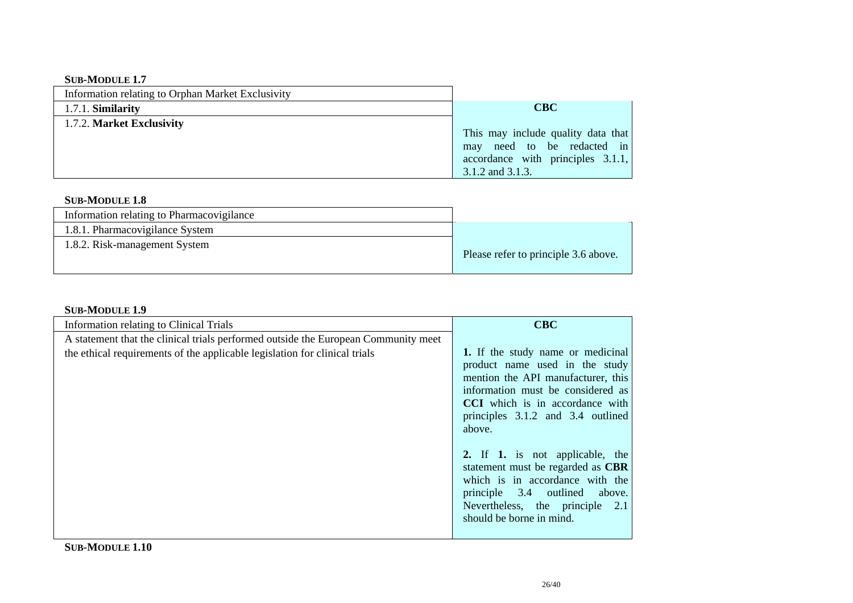## **SUB-MODULE 1.7**

| Information relating to Orphan Market Exclusivity |                                                                                                                                   |
|---------------------------------------------------|-----------------------------------------------------------------------------------------------------------------------------------|
| 1.7.1. Similarity                                 | <b>CBC</b>                                                                                                                        |
| 1.7.2. Market Exclusivity                         | This may include quality data that<br>may need to be redacted in<br>accordance with principles $3.1.1$ ,<br>$3.1.2$ and $3.1.3$ . |

### **SUB-MODULE 1.8**

| Information relating to Pharmacovigilance |                                      |
|-------------------------------------------|--------------------------------------|
| 1.8.1. Pharmacovigilance System           |                                      |
| 1.8.2. Risk-management System             | Please refer to principle 3.6 above. |

## **SUB-MODULE 1.9**

| <b>Information relating to Clinical Trials</b>                                                                                                                   | <b>CBC</b>                                                                                                                                                                                                                              |
|------------------------------------------------------------------------------------------------------------------------------------------------------------------|-----------------------------------------------------------------------------------------------------------------------------------------------------------------------------------------------------------------------------------------|
| A statement that the clinical trials performed outside the European Community meet<br>the ethical requirements of the applicable legislation for clinical trials | 1. If the study name or medicinal<br>product name used in the study<br>mention the API manufacturer, this<br>information must be considered as<br><b>CCI</b> which is in accordance with<br>principles 3.1.2 and 3.4 outlined<br>above. |
|                                                                                                                                                                  | 2. If 1. is not applicable, the<br>statement must be regarded as CBR<br>which is in accordance with the<br>principle 3.4 outlined<br>above.<br>Nevertheless, the principle 2.1<br>should be borne in mind.                              |

**SUB-MODULE 1.10**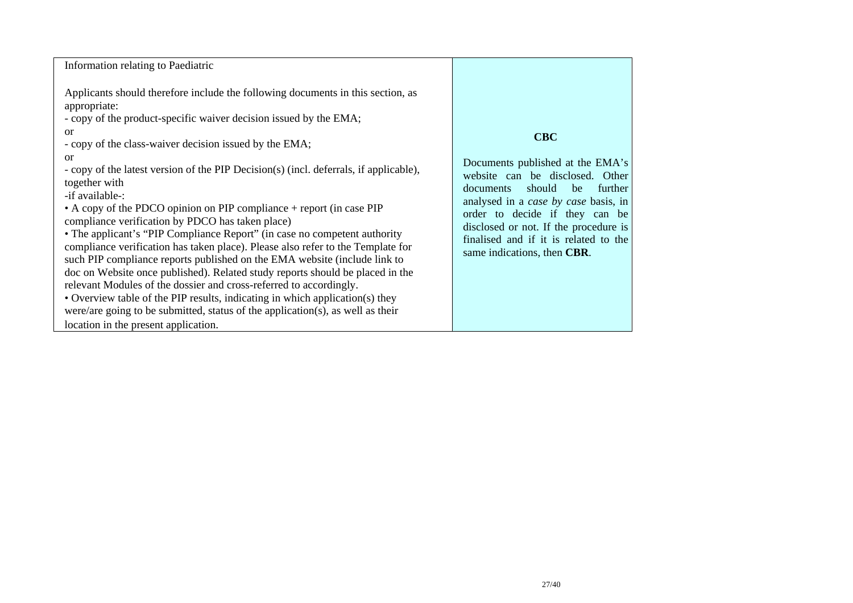| Information relating to Paediatric                                                                                                                                                                                                                                                                                                                                                                                                                                                                                                                                                                                                                                                                                                                                                                                                                                                                                                                                                                                                                                                                                                      |                                                                                                                                                                                                                                                                                                                      |
|-----------------------------------------------------------------------------------------------------------------------------------------------------------------------------------------------------------------------------------------------------------------------------------------------------------------------------------------------------------------------------------------------------------------------------------------------------------------------------------------------------------------------------------------------------------------------------------------------------------------------------------------------------------------------------------------------------------------------------------------------------------------------------------------------------------------------------------------------------------------------------------------------------------------------------------------------------------------------------------------------------------------------------------------------------------------------------------------------------------------------------------------|----------------------------------------------------------------------------------------------------------------------------------------------------------------------------------------------------------------------------------------------------------------------------------------------------------------------|
| Applicants should therefore include the following documents in this section, as<br>appropriate:<br>- copy of the product-specific waiver decision issued by the EMA;<br><sub>or</sub><br>- copy of the class-waiver decision issued by the EMA;<br><sub>or</sub><br>- copy of the latest version of the PIP Decision(s) (incl. deferrals, if applicable),<br>together with<br>-if available-:<br>• A copy of the PDCO opinion on PIP compliance + report (in case PIP<br>compliance verification by PDCO has taken place)<br>• The applicant's "PIP Compliance Report" (in case no competent authority<br>compliance verification has taken place). Please also refer to the Template for<br>such PIP compliance reports published on the EMA website (include link to<br>doc on Website once published). Related study reports should be placed in the<br>relevant Modules of the dossier and cross-referred to accordingly.<br>• Overview table of the PIP results, indicating in which application(s) they<br>were/are going to be submitted, status of the application(s), as well as their<br>location in the present application. | <b>CBC</b><br>Documents published at the EMA's<br>website can be disclosed. Other<br>should<br>further<br>documents<br>be<br>analysed in a case by case basis, in<br>order to decide if they can be<br>disclosed or not. If the procedure is<br>finalised and if it is related to the<br>same indications, then CBR. |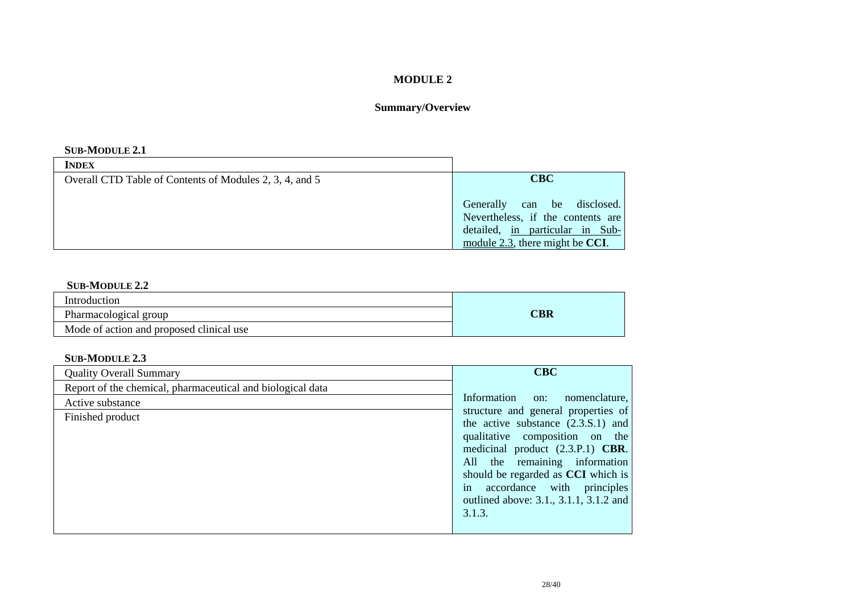## **MODULE 2**

# **Summary/Overview**

#### **SUB-MODULE 2.1**

| <b>INDEX</b>                                            |                                                                                                                                           |
|---------------------------------------------------------|-------------------------------------------------------------------------------------------------------------------------------------------|
| Overall CTD Table of Contents of Modules 2, 3, 4, and 5 | <b>CBC</b>                                                                                                                                |
|                                                         | Generally can be disclosed.<br>Nevertheless, if the contents are<br>detailed, in particular in Sub-<br>module 2.3, there might be $CCI$ . |

#### **SUB-MODULE 2.2**

| Introduction                             |     |
|------------------------------------------|-----|
| Pharmacological group                    | CBR |
| Mode of action and proposed clinical use |     |

## **SUB-MODULE 2.3**

| <b>Quality Overall Summary</b>                             | <b>CBC</b>                                                                                                               |
|------------------------------------------------------------|--------------------------------------------------------------------------------------------------------------------------|
| Report of the chemical, pharmaceutical and biological data |                                                                                                                          |
| Active substance                                           | Information<br>nomenclature,<br>on:                                                                                      |
| Finished product                                           | structure and general properties of<br>the active substance $(2.3.S.1)$ and<br>qualitative composition on the            |
|                                                            | medicinal product $(2.3.P.1)$ <b>CBR</b> .<br>All the remaining information<br>should be regarded as <b>CCI</b> which is |
|                                                            | accordance with principles<br>in<br>outlined above: 3.1., 3.1.1, 3.1.2 and<br>3.1.3.                                     |
|                                                            |                                                                                                                          |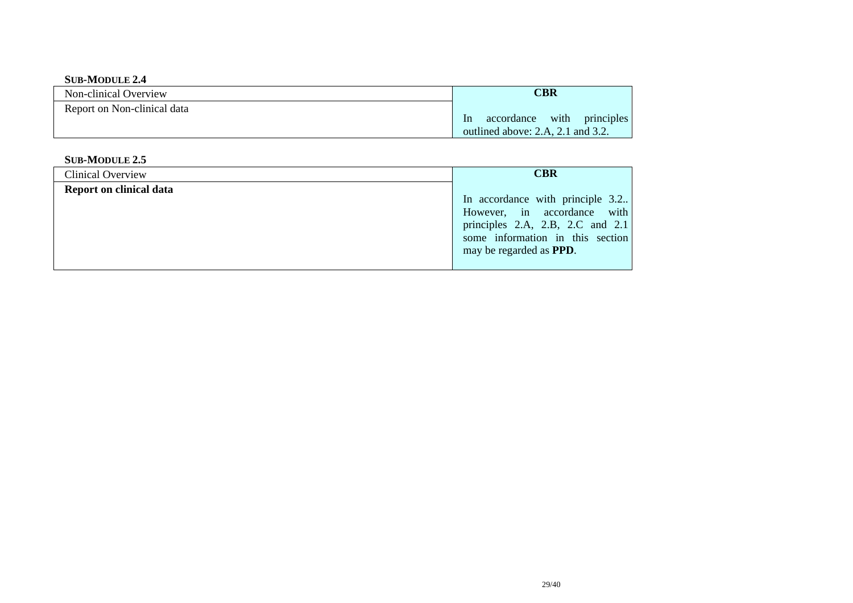#### **SUB-MODULE 2.4**

| Non-clinical Overview       | CBR                                                                                 |
|-----------------------------|-------------------------------------------------------------------------------------|
| Report on Non-clinical data | with principles<br>accordance<br>$\ln$<br>outlined above: $2.A$ , $2.1$ and $3.2$ . |

#### **SUB-MODULE 2.5**

| Clinical Overview       | <b>CBR</b>                                                                                                                                                                            |
|-------------------------|---------------------------------------------------------------------------------------------------------------------------------------------------------------------------------------|
| Report on clinical data | In accordance with principle 3.2.<br>However, in accordance with<br>principles $2.A$ , $2.B$ , $2.C$ and $2.1$<br>some information in this section<br>may be regarded as <b>PPD</b> . |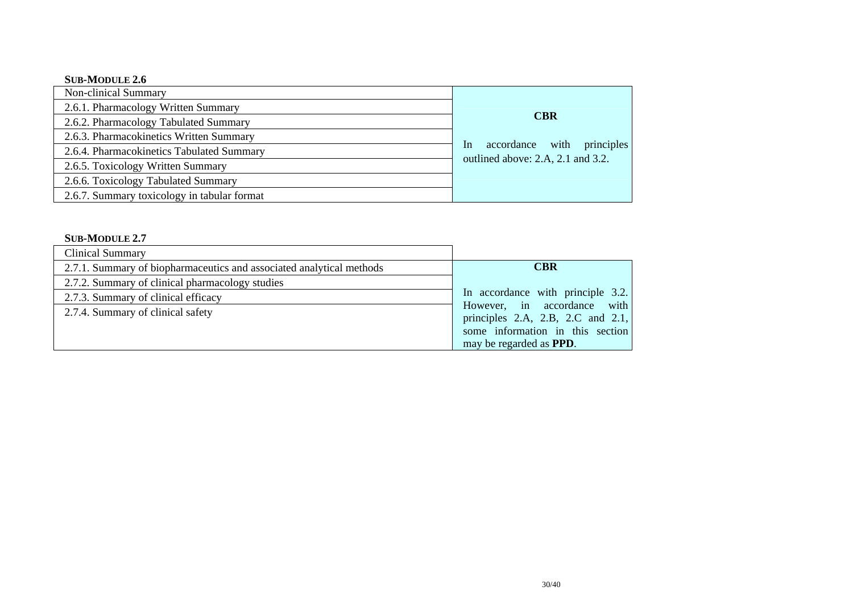### **SUB-MODULE 2.6**

| Non-clinical Summary                        |                                               |
|---------------------------------------------|-----------------------------------------------|
| 2.6.1. Pharmacology Written Summary         |                                               |
| 2.6.2. Pharmacology Tabulated Summary       | <b>CBR</b>                                    |
| 2.6.3. Pharmacokinetics Written Summary     |                                               |
| 2.6.4. Pharmacokinetics Tabulated Summary   | principles<br>with<br>accordance<br><b>In</b> |
| 2.6.5. Toxicology Written Summary           | outlined above: 2.A, 2.1 and 3.2.             |
| 2.6.6. Toxicology Tabulated Summary         |                                               |
| 2.6.7. Summary toxicology in tabular format |                                               |

### **SUB-MODULE 2.7**

| <b>Clinical Summary</b>                                              |                                                                                                                 |
|----------------------------------------------------------------------|-----------------------------------------------------------------------------------------------------------------|
| 2.7.1. Summary of biopharmaceutics and associated analytical methods | <b>CBR</b>                                                                                                      |
| 2.7.2. Summary of clinical pharmacology studies                      |                                                                                                                 |
| 2.7.3. Summary of clinical efficacy                                  | In accordance with principle 3.2.                                                                               |
| 2.7.4. Summary of clinical safety                                    | However, in accordance with<br>principles $2.A$ , $2.B$ , $2.C$ and $2.1$ ,<br>some information in this section |
|                                                                      | may be regarded as <b>PPD</b> .                                                                                 |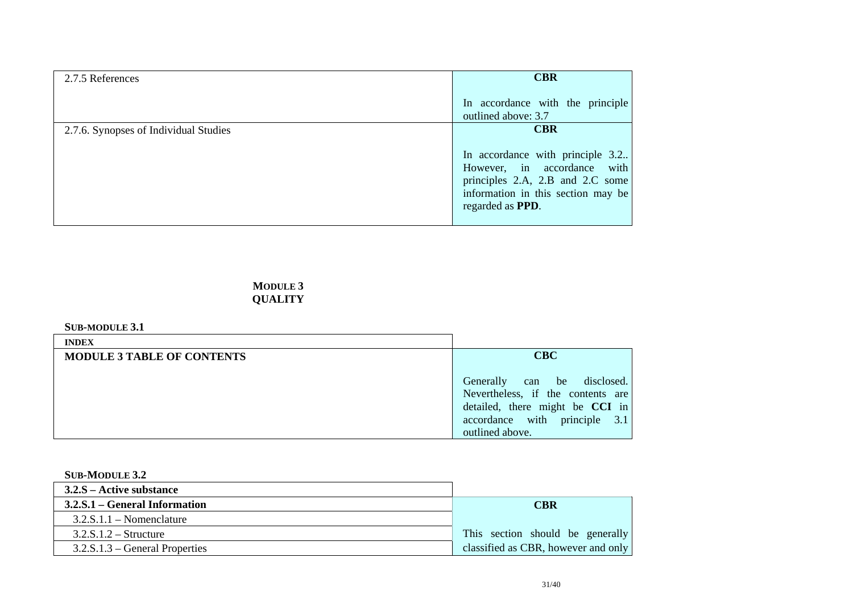| 2.7.5 References                      | <b>CBR</b>                                                                                                                                                             |
|---------------------------------------|------------------------------------------------------------------------------------------------------------------------------------------------------------------------|
|                                       | In accordance with the principle<br>outlined above: 3.7                                                                                                                |
| 2.7.6. Synopses of Individual Studies | <b>CBR</b>                                                                                                                                                             |
|                                       | In accordance with principle 3.2.<br>However, in accordance with<br>principles 2.A, 2.B and 2.C some<br>information in this section may be<br>regarded as <b>PPD</b> . |

**MODULE 3 QUALITY** 

#### **SUB-MODULE 3.1**

| <b>INDEX</b>                      |                                                                                                           |
|-----------------------------------|-----------------------------------------------------------------------------------------------------------|
| <b>MODULE 3 TABLE OF CONTENTS</b> | <b>CBC</b>                                                                                                |
|                                   | be disclosed.<br>Generally<br>can<br>Nevertheless, if the contents are<br>detailed, there might be CCI in |
|                                   | accordance with principle 3.1<br>outlined above.                                                          |

#### **SUB-MODULE 3.2**

| $3.2.S -$ Active substance       |                                     |
|----------------------------------|-------------------------------------|
| 3.2.S.1 – General Information    | <b>CBR</b>                          |
| $3.2$ .S.1.1 – Nomenclature      |                                     |
| $3.2$ .S.1.2 – Structure         | This section should be generally    |
| $3.2.S.1.3$ – General Properties | classified as CBR, however and only |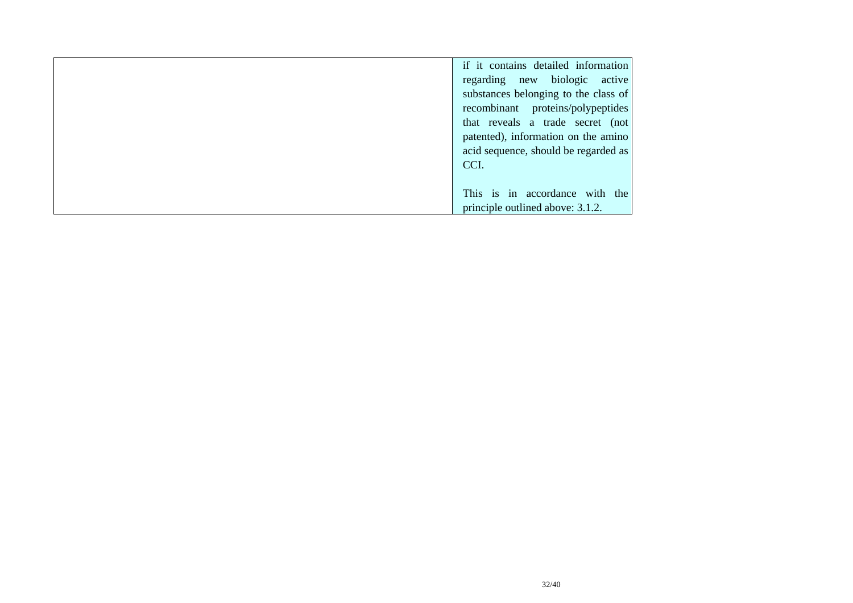| if it contains detailed information  |
|--------------------------------------|
| regarding new biologic active        |
| substances belonging to the class of |
| recombinant proteins/polypeptides    |
| that reveals a trade secret (not     |
| patented), information on the amino  |
| acid sequence, should be regarded as |
| CCI.                                 |
|                                      |
| This is in accordance with the       |
| principle outlined above: 3.1.2.     |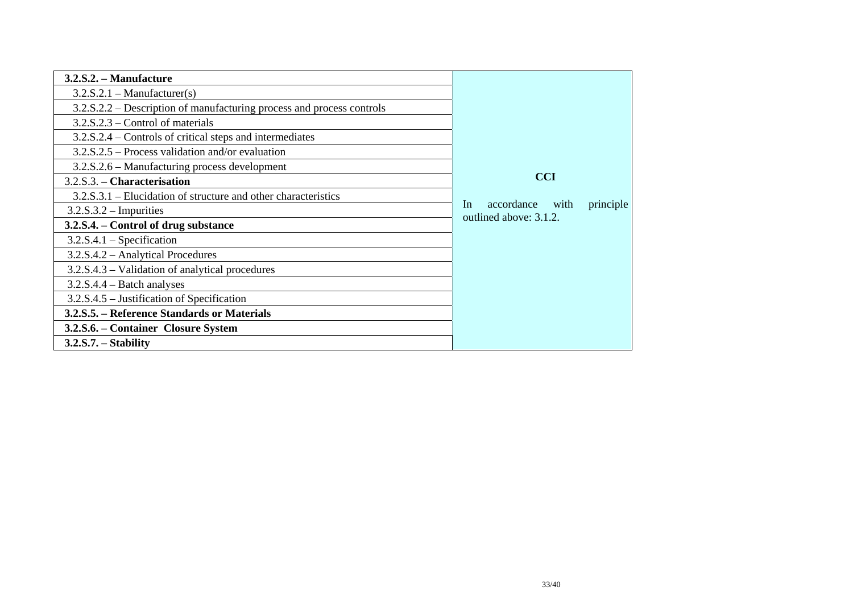| 3.2.S.2. – Manufacture                                                |                                                                  |
|-----------------------------------------------------------------------|------------------------------------------------------------------|
| $3.2.S.2.1$ – Manufacturer(s)                                         |                                                                  |
| 3.2.S.2.2 – Description of manufacturing process and process controls |                                                                  |
| $3.2.S.2.3$ – Control of materials                                    |                                                                  |
| 3.2.S.2.4 – Controls of critical steps and intermediates              |                                                                  |
| $3.2.S.2.5$ – Process validation and/or evaluation                    |                                                                  |
| 3.2.S.2.6 – Manufacturing process development                         |                                                                  |
| 3.2.S.3. - Characterisation                                           | <b>CCI</b>                                                       |
| $3.2.S.3.1$ – Elucidation of structure and other characteristics      |                                                                  |
| $3.2.S.3.2$ – Impurities                                              | accordance<br>principle<br>with<br>In.<br>outlined above: 3.1.2. |
| 3.2.S.4. – Control of drug substance                                  |                                                                  |
| $3.2.S.4.1$ – Specification                                           |                                                                  |
| 3.2.S.4.2 – Analytical Procedures                                     |                                                                  |
| 3.2.S.4.3 – Validation of analytical procedures                       |                                                                  |
| $3.2.S.4.4 - Batch$ analyses                                          |                                                                  |
| 3.2.S.4.5 – Justification of Specification                            |                                                                  |
| 3.2.S.5. – Reference Standards or Materials                           |                                                                  |
| 3.2.S.6. – Container Closure System                                   |                                                                  |
| $3.2.S.7. - Stability$                                                |                                                                  |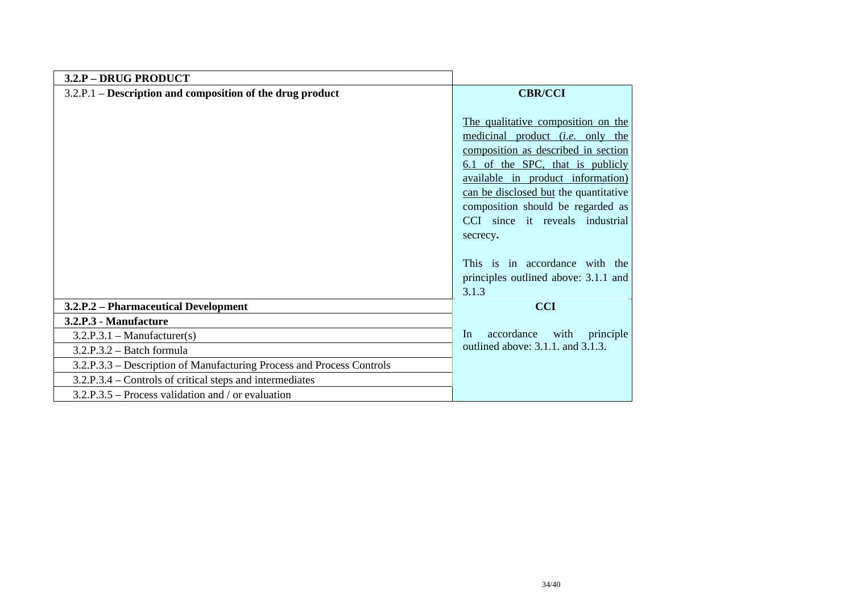| 3.2.P - DRUG PRODUCT                                                  |                                                                                                                                                                                                                                                                                                                                                                                                               |
|-----------------------------------------------------------------------|---------------------------------------------------------------------------------------------------------------------------------------------------------------------------------------------------------------------------------------------------------------------------------------------------------------------------------------------------------------------------------------------------------------|
| 3.2.P.1 – Description and composition of the drug product             | <b>CBR/CCI</b>                                                                                                                                                                                                                                                                                                                                                                                                |
|                                                                       | The qualitative composition on the<br>medicinal product <i>(i.e.</i> only the<br>composition as described in section<br>6.1 of the SPC, that is publicly<br>available in product information)<br>can be disclosed but the quantitative<br>composition should be regarded as<br>CCI since it reveals industrial<br>secrecy.<br>This is in accordance with the<br>principles outlined above: 3.1.1 and<br>3.1.3 |
| 3.2.P.2 - Pharmaceutical Development                                  | <b>CCI</b>                                                                                                                                                                                                                                                                                                                                                                                                    |
| 3.2.P.3 - Manufacture                                                 |                                                                                                                                                                                                                                                                                                                                                                                                               |
| $3.2.P.3.1 - Manuelacturer(s)$                                        | accordance<br>principle<br>with<br>In                                                                                                                                                                                                                                                                                                                                                                         |
| $3.2.P.3.2 - Batch formula$                                           | outlined above: 3.1.1. and 3.1.3.                                                                                                                                                                                                                                                                                                                                                                             |
| 3.2.P.3.3 - Description of Manufacturing Process and Process Controls |                                                                                                                                                                                                                                                                                                                                                                                                               |
| 3.2.P.3.4 – Controls of critical steps and intermediates              |                                                                                                                                                                                                                                                                                                                                                                                                               |
| $3.2.P.3.5$ – Process validation and / or evaluation                  |                                                                                                                                                                                                                                                                                                                                                                                                               |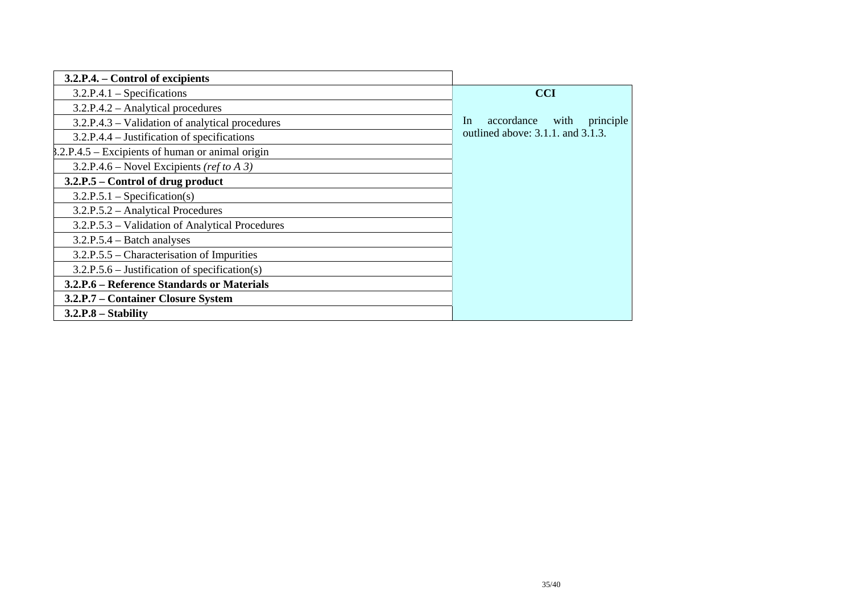| 3.2.P.4. – Control of excipients                   |                                       |
|----------------------------------------------------|---------------------------------------|
| $3.2.P.4.1 - Specifications$                       | <b>CCI</b>                            |
| 3.2.P.4.2 - Analytical procedures                  |                                       |
| 3.2.P.4.3 – Validation of analytical procedures    | accordance<br>In<br>with<br>principle |
| 3.2.P.4.4 – Justification of specifications        | outlined above: 3.1.1. and 3.1.3.     |
| $8.2.P.4.5$ – Excipients of human or animal origin |                                       |
| 3.2.P.4.6 – Novel Excipients (ref to A 3)          |                                       |
| 3.2.P.5 – Control of drug product                  |                                       |
| $3.2.P.5.1 - Specification(s)$                     |                                       |
| 3.2.P.5.2 - Analytical Procedures                  |                                       |
| 3.2.P.5.3 – Validation of Analytical Procedures    |                                       |
| $3.2.P.5.4 - Batch$ analyses                       |                                       |
| 3.2.P.5.5 – Characterisation of Impurities         |                                       |
| $3.2.P.5.6$ – Justification of specification(s)    |                                       |
| 3.2.P.6 – Reference Standards or Materials         |                                       |
| 3.2.P.7 - Container Closure System                 |                                       |
| $3.2.P.8 - Stability$                              |                                       |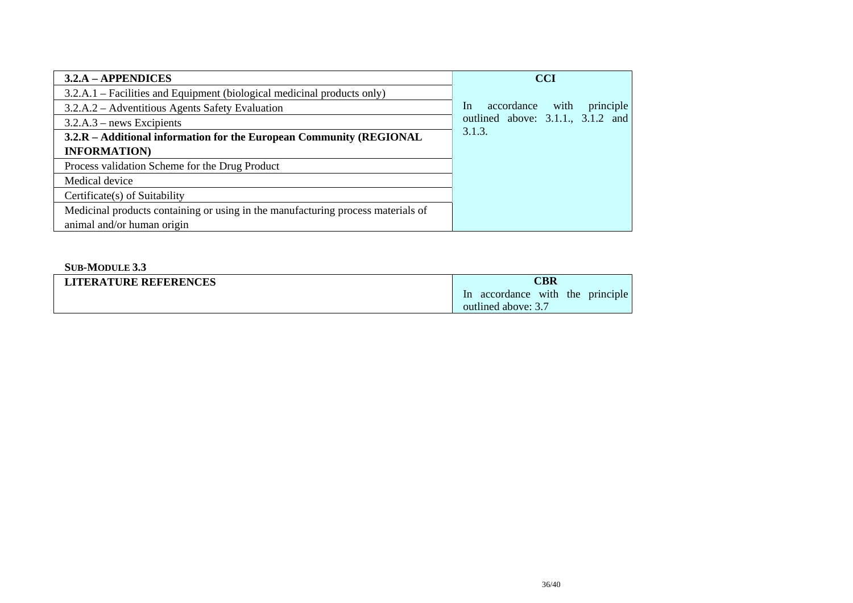| $3.2.A - APPENDICES$                                                             | <b>CCI</b>                            |
|----------------------------------------------------------------------------------|---------------------------------------|
| 3.2.A.1 – Facilities and Equipment (biological medicinal products only)          |                                       |
| 3.2.A.2 – Adventitious Agents Safety Evaluation                                  | principle<br>with<br>accordance<br>In |
| $3.2.A.3$ – news Excipients                                                      | outlined above: 3.1.1., 3.1.2 and     |
| 3.2.R – Additional information for the European Community (REGIONAL              | 3.1.3.                                |
| <b>INFORMATION</b>                                                               |                                       |
| Process validation Scheme for the Drug Product                                   |                                       |
| Medical device                                                                   |                                       |
| Certificate(s) of Suitability                                                    |                                       |
| Medicinal products containing or using in the manufacturing process materials of |                                       |
| animal and/or human origin                                                       |                                       |

### **SUB-MODULE 3.3**

| <b>LITERATURE REFERENCES</b> | CBR                                  |
|------------------------------|--------------------------------------|
|                              | accordance with the principle<br>In. |
|                              | outlined above: 3.7                  |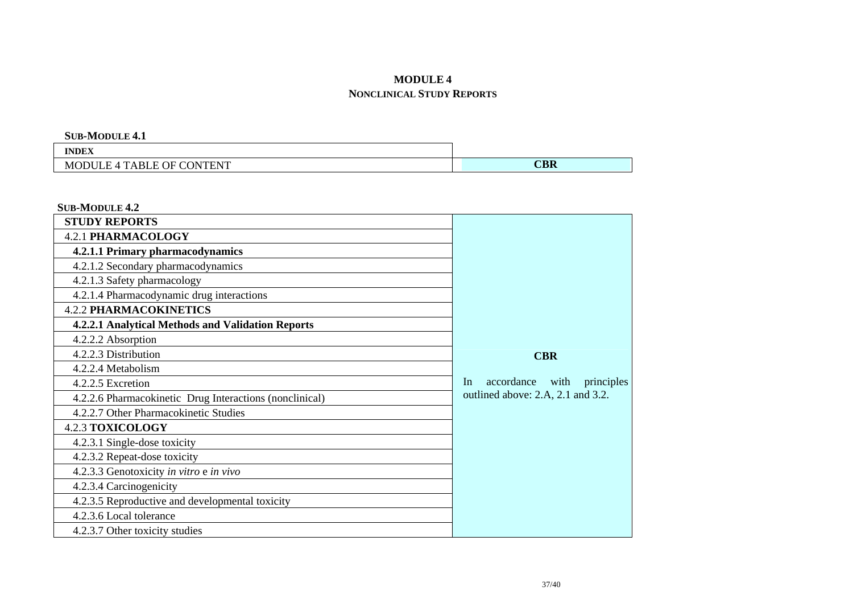# **MODULE 4**

### **NONCLINICAL STUDY REPORTS**

**SUB-MODULE 4.1** 

| <b>INDEX</b>                                                                |                              |
|-----------------------------------------------------------------------------|------------------------------|
| NTENT<br>. OF<br>$T$ <sup>A</sup> BLE $\cup$ .<br>DΝ<br>M<br>1.14<br>11 H H | MDП<br>$\triangle$ <b>BK</b> |

**SUB-MODULE 4.2**

| <b>STUDY REPORTS</b>                                    |                                     |
|---------------------------------------------------------|-------------------------------------|
| <b>4.2.1 PHARMACOLOGY</b>                               |                                     |
| 4.2.1.1 Primary pharmacodynamics                        |                                     |
| 4.2.1.2 Secondary pharmacodynamics                      |                                     |
| 4.2.1.3 Safety pharmacology                             |                                     |
| 4.2.1.4 Pharmacodynamic drug interactions               |                                     |
| <b>4.2.2 PHARMACOKINETICS</b>                           |                                     |
| 4.2.2.1 Analytical Methods and Validation Reports       |                                     |
| 4.2.2.2 Absorption                                      |                                     |
| 4.2.2.3 Distribution                                    | <b>CBR</b>                          |
| 4.2.2.4 Metabolism                                      |                                     |
| 4.2.2.5 Excretion                                       | accordance with<br>In<br>principles |
| 4.2.2.6 Pharmacokinetic Drug Interactions (nonclinical) | outlined above: 2.A, 2.1 and 3.2.   |
| 4.2.2.7 Other Pharmacokinetic Studies                   |                                     |
| <b>4.2.3 TOXICOLOGY</b>                                 |                                     |
| 4.2.3.1 Single-dose toxicity                            |                                     |
| 4.2.3.2 Repeat-dose toxicity                            |                                     |
| 4.2.3.3 Genotoxicity in vitro e in vivo                 |                                     |
| 4.2.3.4 Carcinogenicity                                 |                                     |
| 4.2.3.5 Reproductive and developmental toxicity         |                                     |
| 4.2.3.6 Local tolerance                                 |                                     |
| 4.2.3.7 Other toxicity studies                          |                                     |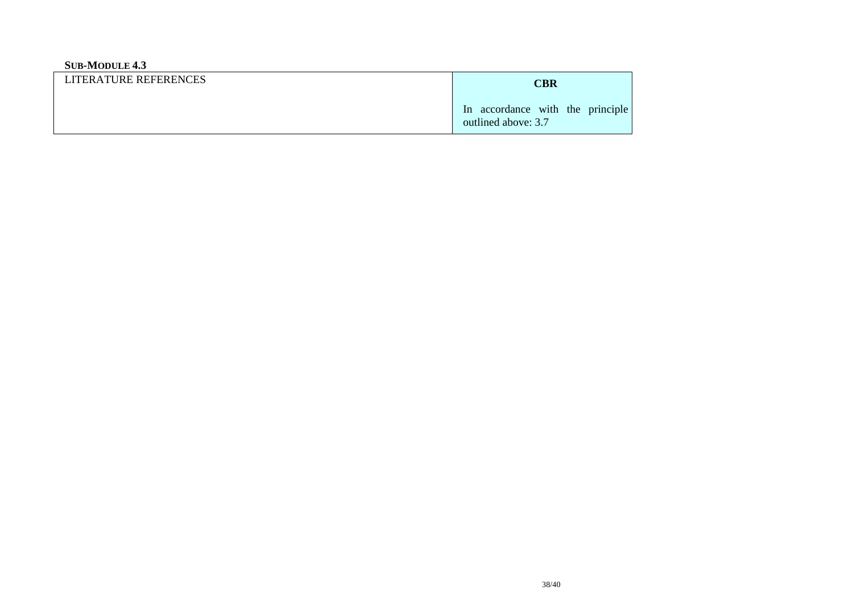## **SUB-MODULE 4.3**

| LITERATURE REFERENCES | CBR                                                     |
|-----------------------|---------------------------------------------------------|
|                       | In accordance with the principle<br>outlined above: 3.7 |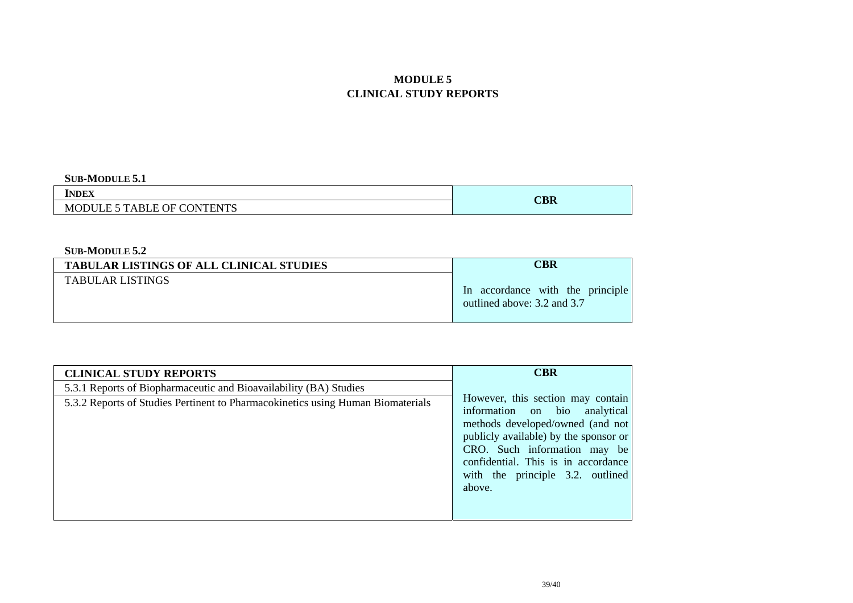# **MODULE 5 CLINICAL STUDY REPORTS**

#### **SUB-MODULE 5.1**

| <b>INDEX</b>               | $C$ BR |
|----------------------------|--------|
| MODULE 5 TABLE OF CONTENTS |        |

#### **SUB-MODULE 5.2**

| <b>TABULAR LISTINGS OF ALL CLINICAL STUDIES</b> | <b>CBR</b>                                                      |
|-------------------------------------------------|-----------------------------------------------------------------|
| <b>TABULAR LISTINGS</b>                         | In accordance with the principle<br>outlined above: 3.2 and 3.7 |

| <b>CLINICAL STUDY REPORTS</b>                                                   | <b>CBR</b>                                                                                                                                                                                                                                                           |
|---------------------------------------------------------------------------------|----------------------------------------------------------------------------------------------------------------------------------------------------------------------------------------------------------------------------------------------------------------------|
| 5.3.1 Reports of Biopharmaceutic and Bioavailability (BA) Studies               |                                                                                                                                                                                                                                                                      |
| 5.3.2 Reports of Studies Pertinent to Pharmacokinetics using Human Biomaterials | However, this section may contain<br>information on bio analytical<br>methods developed/owned (and not<br>publicly available) by the sponsor or<br>CRO. Such information may be<br>confidential. This is in accordance<br>with the principle 3.2. outlined<br>above. |